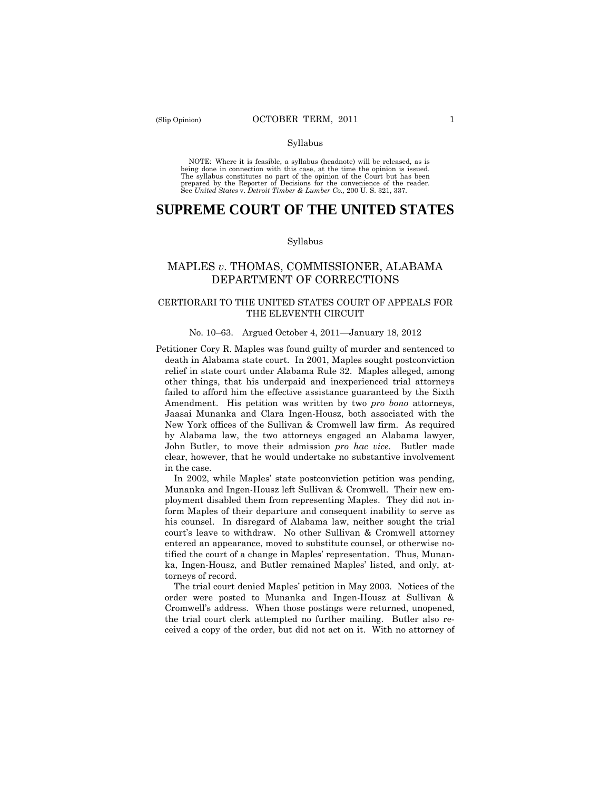NOTE: Where it is feasible, a syllabus (headnote) will be released, as is being done in connection with this case, at the time the opinion is issued. The syllabus constitutes no part of the opinion of the Court but has been<br>prepared by the Reporter of Decisions for the convenience of the reader.<br>See United States v. Detroit Timber & Lumber Co., 200 U. S. 321, 337.

# **SUPREME COURT OF THE UNITED STATES**

#### Syllabus

# MAPLES *v*. THOMAS, COMMISSIONER, ALABAMA DEPARTMENT OF CORRECTIONS

# CERTIORARI TO THE UNITED STATES COURT OF APPEALS FOR THE ELEVENTH CIRCUIT

#### No. 10–63. Argued October 4, 2011—January 18, 2012

Petitioner Cory R. Maples was found guilty of murder and sentenced to death in Alabama state court. In 2001, Maples sought postconviction relief in state court under Alabama Rule 32. Maples alleged, among other things, that his underpaid and inexperienced trial attorneys failed to afford him the effective assistance guaranteed by the Sixth Amendment. His petition was written by two *pro bono* attorneys, Jaasai Munanka and Clara Ingen-Housz, both associated with the New York offices of the Sullivan & Cromwell law firm. As required by Alabama law, the two attorneys engaged an Alabama lawyer, John Butler, to move their admission *pro hac vice.* Butler made clear, however, that he would undertake no substantive involvement in the case.

In 2002, while Maples' state postconviction petition was pending, Munanka and Ingen-Housz left Sullivan & Cromwell. Their new employment disabled them from representing Maples. They did not inform Maples of their departure and consequent inability to serve as his counsel. In disregard of Alabama law, neither sought the trial court's leave to withdraw. No other Sullivan & Cromwell attorney entered an appearance, moved to substitute counsel, or otherwise notified the court of a change in Maples' representation. Thus, Munanka, Ingen-Housz, and Butler remained Maples' listed, and only, attorneys of record.

The trial court denied Maples' petition in May 2003. Notices of the order were posted to Munanka and Ingen-Housz at Sullivan & Cromwell's address. When those postings were returned, unopened, the trial court clerk attempted no further mailing. Butler also received a copy of the order, but did not act on it. With no attorney of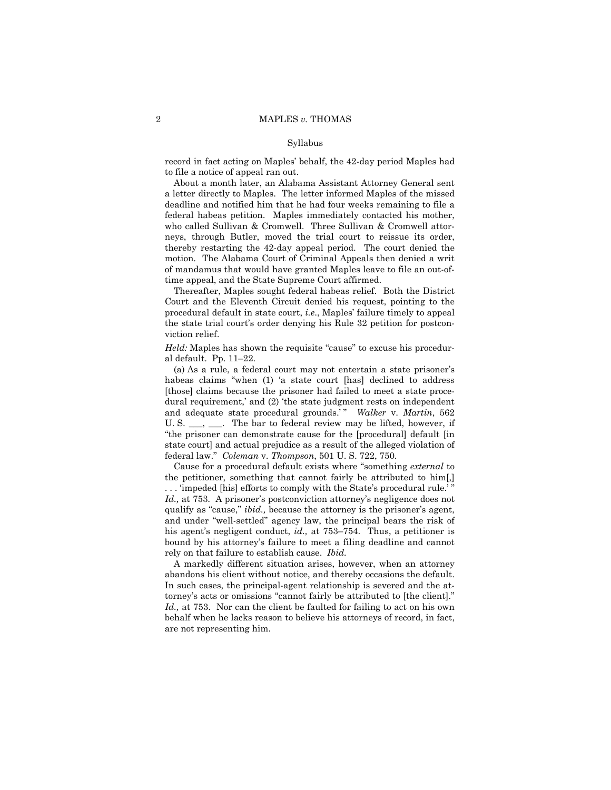record in fact acting on Maples' behalf, the 42-day period Maples had to file a notice of appeal ran out.

 deadline and notified him that he had four weeks remaining to file a About a month later, an Alabama Assistant Attorney General sent a letter directly to Maples. The letter informed Maples of the missed federal habeas petition. Maples immediately contacted his mother, who called Sullivan & Cromwell. Three Sullivan & Cromwell attorneys, through Butler, moved the trial court to reissue its order, thereby restarting the 42-day appeal period. The court denied the motion. The Alabama Court of Criminal Appeals then denied a writ of mandamus that would have granted Maples leave to file an out-oftime appeal, and the State Supreme Court affirmed.

 Thereafter, Maples sought federal habeas relief. Both the District Court and the Eleventh Circuit denied his request, pointing to the procedural default in state court, *i.e*., Maples' failure timely to appeal the state trial court's order denying his Rule 32 petition for postconviction relief.

*Held:* Maples has shown the requisite "cause" to excuse his procedural default. Pp. 11–22.

(a) As a rule, a federal court may not entertain a state prisoner's habeas claims "when (1) 'a state court [has] declined to address [those] claims because the prisoner had failed to meet a state procedural requirement,' and (2) 'the state judgment rests on independent and adequate state procedural grounds.'" Walker v. Martin, 562 U. S. \_\_\_, \_\_\_. The bar to federal review may be lifted, however, if "the prisoner can demonstrate cause for the [procedural] default [in state court] and actual prejudice as a result of the alleged violation of federal law." *Coleman* v. *Thompson*, 501 U. S. 722, 750.

 qualify as "cause," *ibid.,* because the attorney is the prisoner's agent, his agent's negligent conduct, *id.,* at 753–754. Thus, a petitioner is Cause for a procedural default exists where "something *external* to the petitioner, something that cannot fairly be attributed to him[,] . . . 'impeded [his] efforts to comply with the State's procedural rule.' " *Id.,* at 753. A prisoner's postconviction attorney's negligence does not and under "well-settled" agency law, the principal bears the risk of bound by his attorney's failure to meet a filing deadline and cannot rely on that failure to establish cause. *Ibid.* 

A markedly different situation arises, however, when an attorney abandons his client without notice, and thereby occasions the default. In such cases, the principal-agent relationship is severed and the attorney's acts or omissions "cannot fairly be attributed to [the client]." *Id.,* at 753. Nor can the client be faulted for failing to act on his own behalf when he lacks reason to believe his attorneys of record, in fact, are not representing him.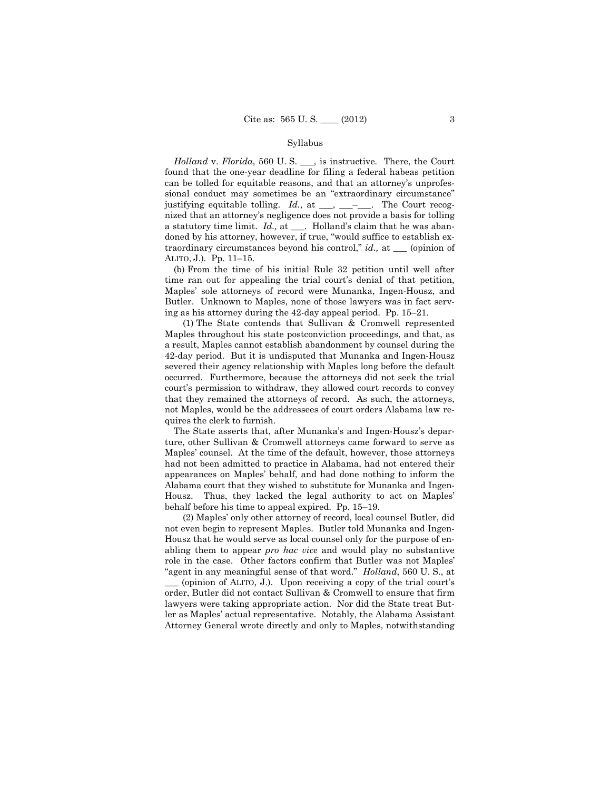*Holland* v. *Florida*, 560 U. S. \_\_\_, is instructive*.* There, the Court found that the one-year deadline for filing a federal habeas petition can be tolled for equitable reasons, and that an attorney's unprofessional conduct may sometimes be an "extraordinary circumstance" justifying equitable tolling. *Id.*, at \_\_\_, \_\_\_<sup>\_</sup>\_\_\_. The Court recognized that an attorney's negligence does not provide a basis for tolling a statutory time limit. *Id.,* at \_\_\_. Holland's claim that he was abandoned by his attorney, however, if true, "would suffice to establish extraordinary circumstances beyond his control," *id.,* at \_\_\_ (opinion of ALITO, J.)*.* Pp. 11–15.

(b) From the time of his initial Rule 32 petition until well after time ran out for appealing the trial court's denial of that petition, Maples' sole attorneys of record were Munanka, Ingen-Housz, and Butler. Unknown to Maples, none of those lawyers was in fact serving as his attorney during the 42-day appeal period. Pp. 15–21.

(1) The State contends that Sullivan & Cromwell represented Maples throughout his state postconviction proceedings, and that, as a result, Maples cannot establish abandonment by counsel during the 42-day period. But it is undisputed that Munanka and Ingen-Housz severed their agency relationship with Maples long before the default occurred. Furthermore, because the attorneys did not seek the trial court's permission to withdraw, they allowed court records to convey that they remained the attorneys of record. As such, the attorneys, not Maples, would be the addressees of court orders Alabama law requires the clerk to furnish.

The State asserts that, after Munanka's and Ingen-Housz's departure, other Sullivan & Cromwell attorneys came forward to serve as Maples' counsel. At the time of the default, however, those attorneys had not been admitted to practice in Alabama, had not entered their appearances on Maples' behalf, and had done nothing to inform the Alabama court that they wished to substitute for Munanka and Ingen-Housz. Thus, they lacked the legal authority to act on Maples' behalf before his time to appeal expired. Pp. 15–19.

 "agent in any meaningful sense of that word." *Holland*, 560 U. S., at (2) Maples' only other attorney of record, local counsel Butler, did not even begin to represent Maples. Butler told Munanka and Ingen-Housz that he would serve as local counsel only for the purpose of enabling them to appear *pro hac vice* and would play no substantive role in the case. Other factors confirm that Butler was not Maples'

\_\_\_ (opinion of ALITO, J.). Upon receiving a copy of the trial court's order, Butler did not contact Sullivan & Cromwell to ensure that firm lawyers were taking appropriate action. Nor did the State treat Butler as Maples' actual representative. Notably, the Alabama Assistant Attorney General wrote directly and only to Maples, notwithstanding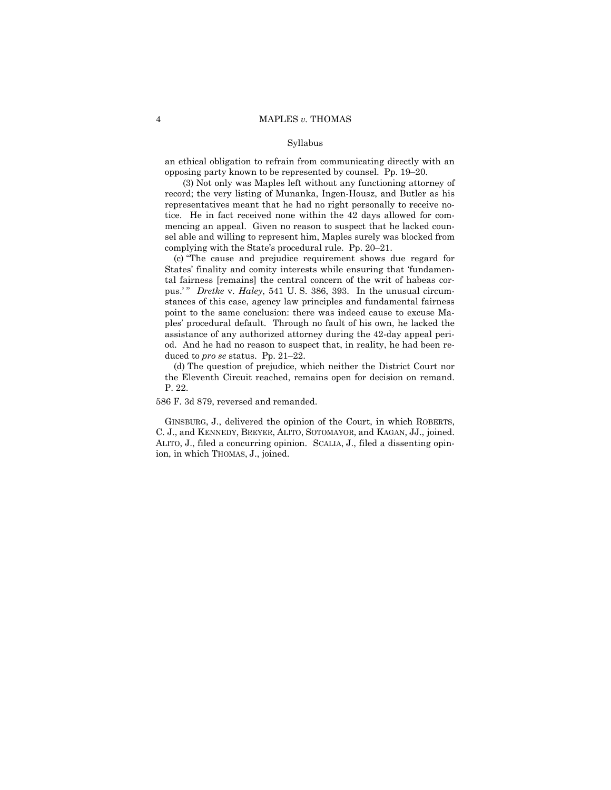an ethical obligation to refrain from communicating directly with an opposing party known to be represented by counsel. Pp. 19–20.

(3) Not only was Maples left without any functioning attorney of record; the very listing of Munanka, Ingen-Housz, and Butler as his representatives meant that he had no right personally to receive notice. He in fact received none within the 42 days allowed for commencing an appeal. Given no reason to suspect that he lacked counsel able and willing to represent him, Maples surely was blocked from complying with the State's procedural rule. Pp. 20–21.

(c) "The cause and prejudice requirement shows due regard for States' finality and comity interests while ensuring that 'fundamental fairness [remains] the central concern of the writ of habeas corpus.'" *Dretke* v. *Haley*, 541 U.S. 386, 393. In the unusual circumstances of this case, agency law principles and fundamental fairness point to the same conclusion: there was indeed cause to excuse Maples' procedural default. Through no fault of his own, he lacked the assistance of any authorized attorney during the 42-day appeal period. And he had no reason to suspect that, in reality, he had been reduced to *pro se* status. Pp. 21–22.

(d) The question of prejudice, which neither the District Court nor the Eleventh Circuit reached, remains open for decision on remand. P. 22.

586 F. 3d 879, reversed and remanded.

 C. J., and KENNEDY, BREYER, ALITO, SOTOMAYOR, and KAGAN, JJ., joined. GINSBURG, J., delivered the opinion of the Court, in which ROBERTS, ALITO, J., filed a concurring opinion. SCALIA, J., filed a dissenting opinion, in which THOMAS, J., joined.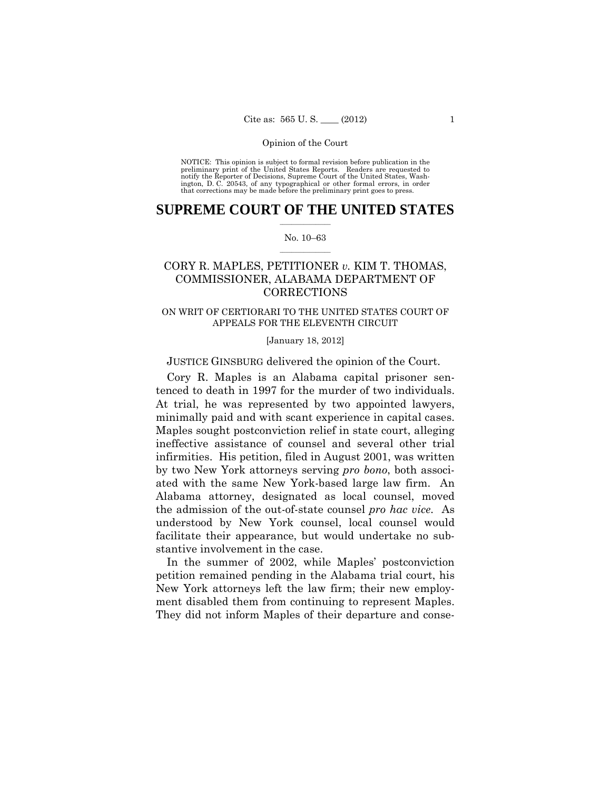preliminary print of the United States Reports. Readers are requested to notify the Reporter of Decisions, Supreme Court of the United States, Wash- ington, D. C. 20543, of any typographical or other formal errors, in order that corrections may be made before the preliminary print goes to press. NOTICE: This opinion is subject to formal revision before publication in the

## $\frac{1}{2}$  ,  $\frac{1}{2}$  ,  $\frac{1}{2}$  ,  $\frac{1}{2}$  ,  $\frac{1}{2}$  ,  $\frac{1}{2}$  ,  $\frac{1}{2}$ **SUPREME COURT OF THE UNITED STATES**

#### $\frac{1}{2}$  ,  $\frac{1}{2}$  ,  $\frac{1}{2}$  ,  $\frac{1}{2}$  ,  $\frac{1}{2}$  ,  $\frac{1}{2}$ No. 10–63

# CORY R. MAPLES, PETITIONER *v.* KIM T. THOMAS, COMMISSIONER, ALABAMA DEPARTMENT OF CORRECTIONS

## ON WRIT OF CERTIORARI TO THE UNITED STATES COURT OF APPEALS FOR THE ELEVENTH CIRCUIT

### [January 18, 2012]

JUSTICE GINSBURG delivered the opinion of the Court.

tenced to death in 1997 for the murder of two individuals. Cory R. Maples is an Alabama capital prisoner sen-At trial, he was represented by two appointed lawyers, minimally paid and with scant experience in capital cases. Maples sought postconviction relief in state court, alleging ineffective assistance of counsel and several other trial infirmities. His petition, filed in August 2001, was written by two New York attorneys serving *pro bono*, both associated with the same New York-based large law firm. An Alabama attorney, designated as local counsel, moved the admission of the out-of-state counsel *pro hac vice*. As understood by New York counsel, local counsel would facilitate their appearance, but would undertake no substantive involvement in the case.

In the summer of 2002, while Maples' postconviction petition remained pending in the Alabama trial court, his New York attorneys left the law firm; their new employment disabled them from continuing to represent Maples. They did not inform Maples of their departure and conse-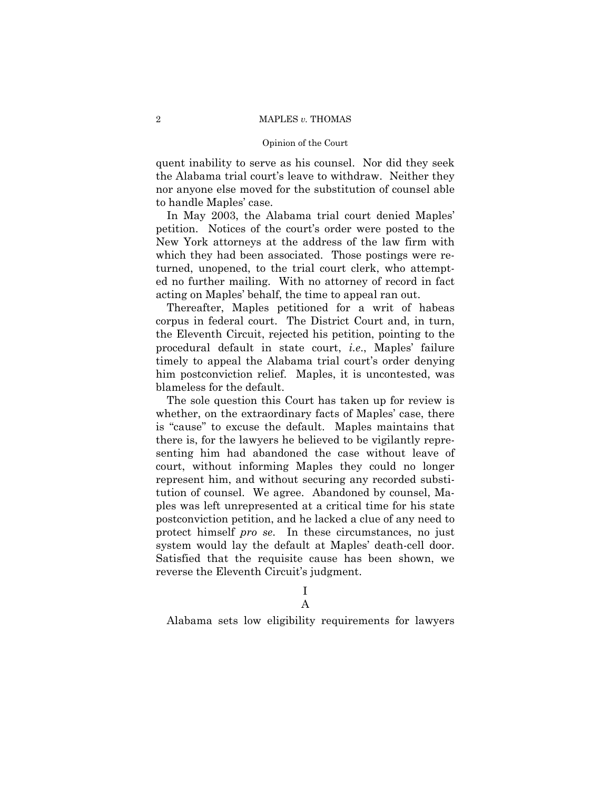#### Opinion of the Court

quent inability to serve as his counsel. Nor did they seek the Alabama trial court's leave to withdraw. Neither they nor anyone else moved for the substitution of counsel able to handle Maples' case.

In May 2003, the Alabama trial court denied Maples' petition. Notices of the court's order were posted to the New York attorneys at the address of the law firm with which they had been associated. Those postings were returned, unopened, to the trial court clerk, who attempted no further mailing. With no attorney of record in fact acting on Maples' behalf, the time to appeal ran out.

Thereafter, Maples petitioned for a writ of habeas corpus in federal court. The District Court and, in turn, the Eleventh Circuit, rejected his petition, pointing to the procedural default in state court, *i.e*., Maples' failure timely to appeal the Alabama trial court's order denying him postconviction relief. Maples, it is uncontested, was blameless for the default.

 system would lay the default at Maples' death-cell door. The sole question this Court has taken up for review is whether, on the extraordinary facts of Maples' case, there is "cause" to excuse the default. Maples maintains that there is, for the lawyers he believed to be vigilantly representing him had abandoned the case without leave of court, without informing Maples they could no longer represent him, and without securing any recorded substitution of counsel. We agree. Abandoned by counsel, Maples was left unrepresented at a critical time for his state postconviction petition, and he lacked a clue of any need to protect himself *pro se*. In these circumstances, no just Satisfied that the requisite cause has been shown, we reverse the Eleventh Circuit's judgment.

> I A

Alabama sets low eligibility requirements for lawyers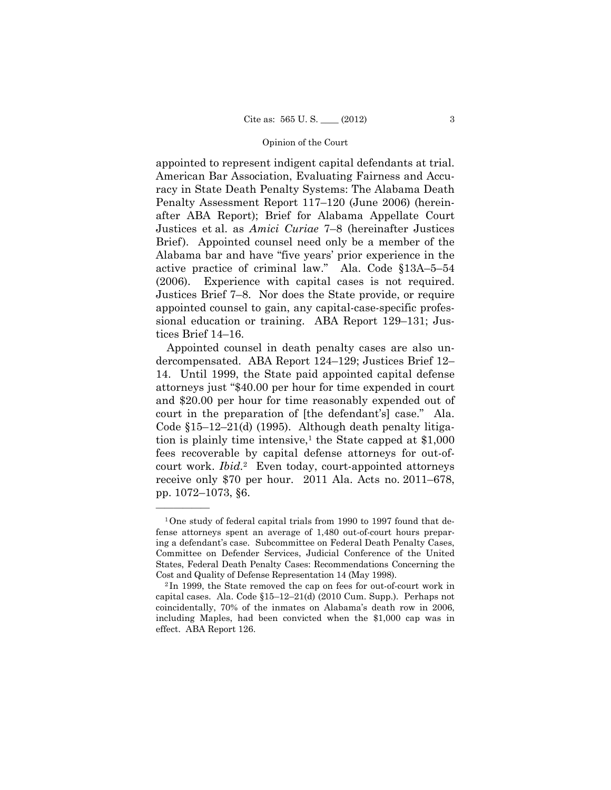appointed to represent indigent capital defendants at trial. American Bar Association, Evaluating Fairness and Accuracy in State Death Penalty Systems: The Alabama Death Penalty Assessment Report 117–120 (June 2006) (hereinafter ABA Report); Brief for Alabama Appellate Court Justices et al. as *Amici Curiae* 7–8 (hereinafter Justices Brief). Appointed counsel need only be a member of the Alabama bar and have "five years' prior experience in the active practice of criminal law." Ala. Code §13A–5–54 (2006). Experience with capital cases is not required. Justices Brief 7–8. Nor does the State provide, or require appointed counsel to gain, any capital-case-specific professional education or training. ABA Report 129–131; Justices Brief 14–16.

Appointed counsel in death penalty cases are also undercompensated. ABA Report 124–129; Justices Brief 12– 14. Until 1999, the State paid appointed capital defense attorneys just "\$40.00 per hour for time expended in court and \$20.00 per hour for time reasonably expended out of court in the preparation of [the defendant's] case." Ala. Code  $$15-12-21$ (d) (1995). Although death penalty litigation is plainly time intensive,<sup>1</sup> the State capped at  $$1,000$ fees recoverable by capital defense attorneys for out-ofcourt work. *Ibid.*2 Even today, court-appointed attorneys receive only \$70 per hour. 2011 Ala. Acts no. 2011–678, pp. 1072–1073, §6.

 ing a defendant's case. Subcommittee on Federal Death Penalty Cases, Cost and Quality of Defense Representation 14 (May 1998). <sup>1</sup>One study of federal capital trials from 1990 to 1997 found that defense attorneys spent an average of 1,480 out-of-court hours prepar-Committee on Defender Services, Judicial Conference of the United States, Federal Death Penalty Cases: Recommendations Concerning the

 $2 \text{In } 1999$ , the State removed the cap on fees for out-of-court work in capital cases. Ala. Code §15–12–21(d) (2010 Cum. Supp.). Perhaps not coincidentally, 70% of the inmates on Alabama's death row in 2006, including Maples, had been convicted when the \$1,000 cap was in effect. ABA Report 126.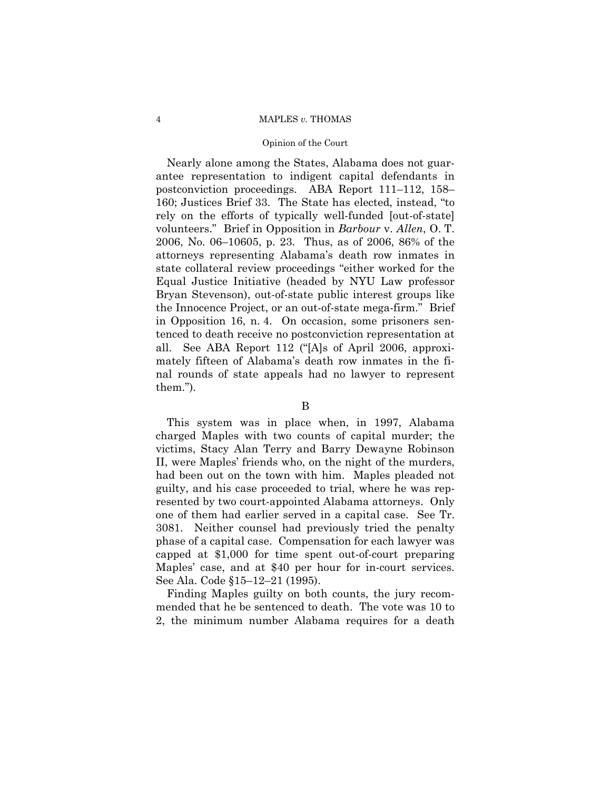#### Opinion of the Court

Nearly alone among the States, Alabama does not guarantee representation to indigent capital defendants in postconviction proceedings. ABA Report 111–112, 158– 160; Justices Brief 33. The State has elected, instead, "to rely on the efforts of typically well-funded [out-of-state] volunteers." Brief in Opposition in *Barbour* v. *Allen*, O. T. 2006, No. 06–10605, p. 23. Thus, as of 2006, 86% of the attorneys representing Alabama's death row inmates in state collateral review proceedings "either worked for the Equal Justice Initiative (headed by NYU Law professor Bryan Stevenson), out-of-state public interest groups like the Innocence Project, or an out-of-state mega-firm." Brief in Opposition 16, n. 4. On occasion, some prisoners sentenced to death receive no postconviction representation at all. See ABA Report 112 ("[A]s of April 2006, approximately fifteen of Alabama's death row inmates in the final rounds of state appeals had no lawyer to represent them.").

# B

 phase of a capital case. Compensation for each lawyer was This system was in place when, in 1997, Alabama charged Maples with two counts of capital murder; the victims, Stacy Alan Terry and Barry Dewayne Robinson II, were Maples' friends who, on the night of the murders, had been out on the town with him. Maples pleaded not guilty, and his case proceeded to trial, where he was represented by two court-appointed Alabama attorneys. Only one of them had earlier served in a capital case. See Tr. 3081. Neither counsel had previously tried the penalty capped at \$1,000 for time spent out-of-court preparing Maples' case, and at \$40 per hour for in-court services. See Ala. Code §15–12–21 (1995).

Finding Maples guilty on both counts, the jury recommended that he be sentenced to death. The vote was 10 to 2, the minimum number Alabama requires for a death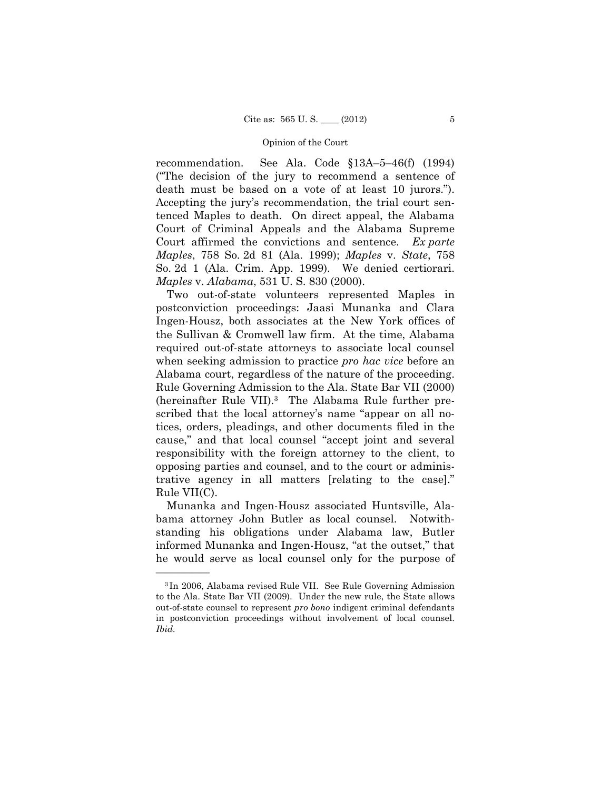recommendation. See Ala. Code §13A–5–46(f) (1994) ("The decision of the jury to recommend a sentence of death must be based on a vote of at least 10 jurors."). Accepting the jury's recommendation, the trial court sentenced Maples to death. On direct appeal, the Alabama Court of Criminal Appeals and the Alabama Supreme Court affirmed the convictions and sentence. *Ex parte Maples*, 758 So. 2d 81 (Ala. 1999); *Maples* v. *State*, 758 So. 2d 1 (Ala. Crim. App. 1999). We denied certiorari. *Maples* v. *Alabama*, 531 U. S. 830 (2000).

Two out-of-state volunteers represented Maples in postconviction proceedings: Jaasi Munanka and Clara Ingen-Housz, both associates at the New York offices of the Sullivan & Cromwell law firm. At the time, Alabama required out-of-state attorneys to associate local counsel when seeking admission to practice *pro hac vice* before an Alabama court, regardless of the nature of the proceeding. Rule Governing Admission to the Ala. State Bar VII (2000) (hereinafter Rule VII).3 The Alabama Rule further prescribed that the local attorney's name "appear on all notices, orders, pleadings, and other documents filed in the cause," and that local counsel "accept joint and several responsibility with the foreign attorney to the client, to opposing parties and counsel, and to the court or administrative agency in all matters [relating to the case]." Rule VII(C).

 standing his obligations under Alabama law, Butler Munanka and Ingen-Housz associated Huntsville, Alabama attorney John Butler as local counsel. Notwithinformed Munanka and Ingen-Housz, "at the outset," that he would serve as local counsel only for the purpose of

<sup>3</sup> In 2006, Alabama revised Rule VII. See Rule Governing Admission to the Ala. State Bar VII (2009). Under the new rule, the State allows out-of-state counsel to represent *pro bono* indigent criminal defendants in postconviction proceedings without involvement of local counsel. *Ibid.*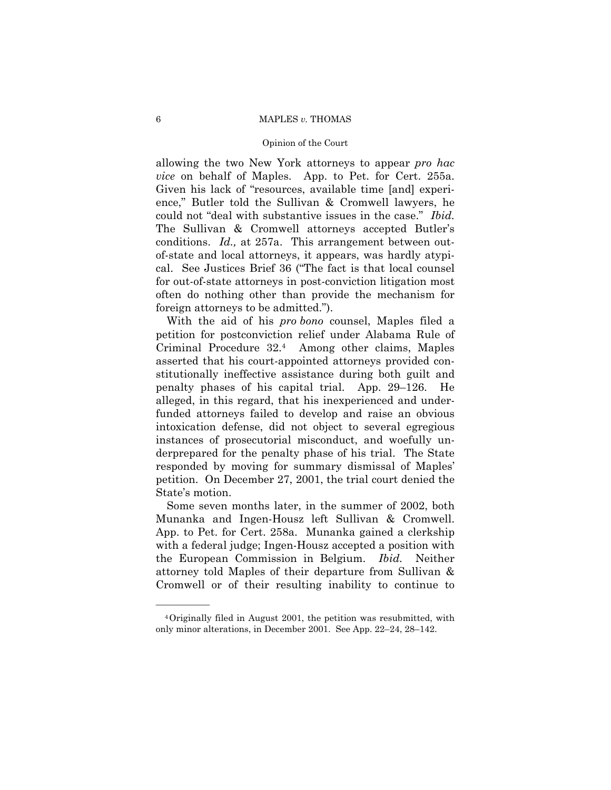#### Opinion of the Court

allowing the two New York attorneys to appear *pro hac vice* on behalf of Maples. App. to Pet. for Cert. 255a. Given his lack of "resources, available time [and] experience," Butler told the Sullivan & Cromwell lawyers, he could not "deal with substantive issues in the case." *Ibid.* The Sullivan & Cromwell attorneys accepted Butler's conditions. *Id.,* at 257a. This arrangement between outof-state and local attorneys, it appears, was hardly atypical. See Justices Brief 36 ("The fact is that local counsel for out-of-state attorneys in post-conviction litigation most often do nothing other than provide the mechanism for foreign attorneys to be admitted.").

With the aid of his *pro bono* counsel, Maples filed a petition for postconviction relief under Alabama Rule of Criminal Procedure 32.4 Among other claims, Maples asserted that his court-appointed attorneys provided constitutionally ineffective assistance during both guilt and penalty phases of his capital trial. App. 29–126. He alleged, in this regard, that his inexperienced and underfunded attorneys failed to develop and raise an obvious intoxication defense, did not object to several egregious instances of prosecutorial misconduct, and woefully underprepared for the penalty phase of his trial. The State responded by moving for summary dismissal of Maples' petition. On December 27, 2001, the trial court denied the State's motion.

Some seven months later, in the summer of 2002, both Munanka and Ingen-Housz left Sullivan & Cromwell. App. to Pet. for Cert. 258a. Munanka gained a clerkship with a federal judge; Ingen-Housz accepted a position with the European Commission in Belgium. *Ibid.* Neither attorney told Maples of their departure from Sullivan & Cromwell or of their resulting inability to continue to

<sup>4</sup>Originally filed in August 2001, the petition was resubmitted, with only minor alterations, in December 2001. See App. 22–24, 28–142.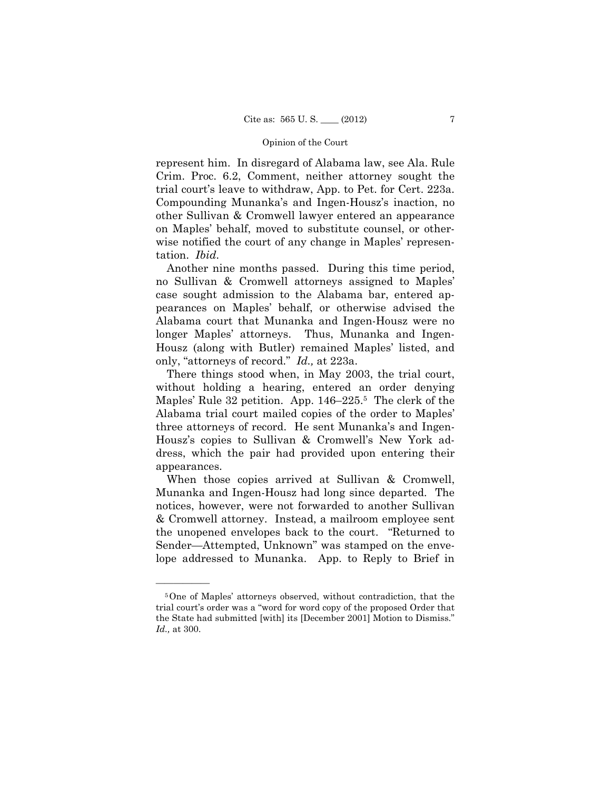represent him. In disregard of Alabama law, see Ala. Rule Crim. Proc. 6.2, Comment, neither attorney sought the trial court's leave to withdraw, App. to Pet. for Cert. 223a. Compounding Munanka's and Ingen-Housz's inaction, no other Sullivan & Cromwell lawyer entered an appearance on Maples' behalf, moved to substitute counsel, or otherwise notified the court of any change in Maples' representation. *Ibid*.

Another nine months passed. During this time period, no Sullivan & Cromwell attorneys assigned to Maples' case sought admission to the Alabama bar, entered appearances on Maples' behalf, or otherwise advised the Alabama court that Munanka and Ingen-Housz were no longer Maples' attorneys. Thus, Munanka and Ingen-Housz (along with Butler) remained Maples' listed, and only, "attorneys of record." *Id.,* at 223a.

There things stood when, in May 2003, the trial court, without holding a hearing, entered an order denying Maples' Rule 32 petition. App. 146–225.<sup>5</sup> The clerk of the Alabama trial court mailed copies of the order to Maples' three attorneys of record. He sent Munanka's and Ingen-Housz's copies to Sullivan & Cromwell's New York address, which the pair had provided upon entering their appearances.

When those copies arrived at Sullivan & Cromwell, Munanka and Ingen-Housz had long since departed. The notices, however, were not forwarded to another Sullivan & Cromwell attorney. Instead, a mailroom employee sent the unopened envelopes back to the court. "Returned to Sender—Attempted, Unknown" was stamped on the envelope addressed to Munanka. App. to Reply to Brief in

<sup>5</sup>One of Maples' attorneys observed, without contradiction, that the trial court's order was a "word for word copy of the proposed Order that the State had submitted [with] its [December 2001] Motion to Dismiss." *Id.,* at 300.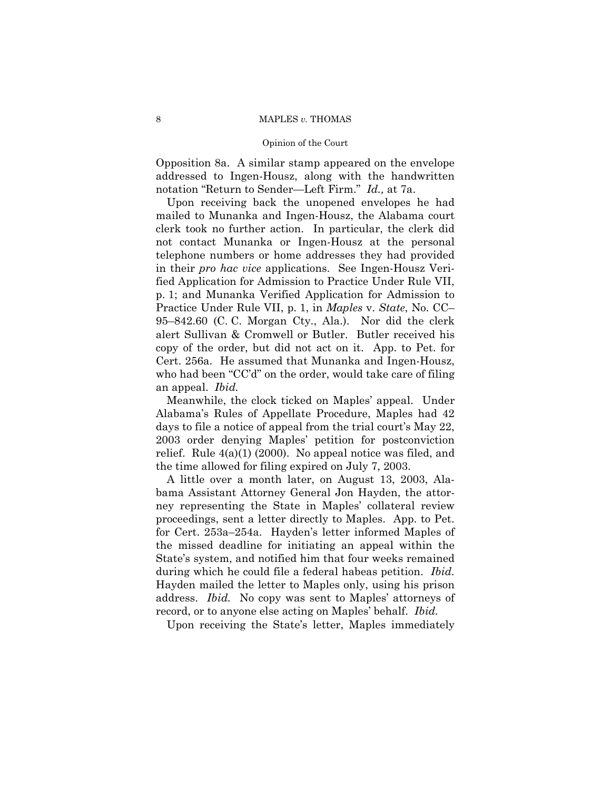#### Opinion of the Court

Opposition 8a. A similar stamp appeared on the envelope addressed to Ingen-Housz, along with the handwritten notation "Return to Sender—Left Firm." *Id.,* at 7a.

Upon receiving back the unopened envelopes he had mailed to Munanka and Ingen-Housz, the Alabama court clerk took no further action. In particular, the clerk did not contact Munanka or Ingen-Housz at the personal telephone numbers or home addresses they had provided in their *pro hac vice* applications. See Ingen-Housz Verified Application for Admission to Practice Under Rule VII, p. 1; and Munanka Verified Application for Admission to Practice Under Rule VII, p. 1, in *Maples* v. *State*, No. CC– 95–842.60 (C. C. Morgan Cty., Ala.). Nor did the clerk alert Sullivan & Cromwell or Butler. Butler received his copy of the order, but did not act on it. App. to Pet. for Cert. 256a. He assumed that Munanka and Ingen-Housz, who had been "CC'd" on the order, would take care of filing an appeal. *Ibid.* 

Meanwhile, the clock ticked on Maples' appeal. Under Alabama's Rules of Appellate Procedure, Maples had 42 days to file a notice of appeal from the trial court's May 22, 2003 order denying Maples' petition for postconviction relief. Rule  $4(a)(1)$  (2000). No appeal notice was filed, and the time allowed for filing expired on July 7, 2003.

A little over a month later, on August 13, 2003, Alabama Assistant Attorney General Jon Hayden, the attorney representing the State in Maples' collateral review proceedings, sent a letter directly to Maples. App. to Pet. for Cert. 253a–254a. Hayden's letter informed Maples of the missed deadline for initiating an appeal within the State's system, and notified him that four weeks remained during which he could file a federal habeas petition. *Ibid.* Hayden mailed the letter to Maples only, using his prison address. *Ibid.* No copy was sent to Maples' attorneys of record, or to anyone else acting on Maples' behalf. *Ibid.* 

Upon receiving the State's letter, Maples immediately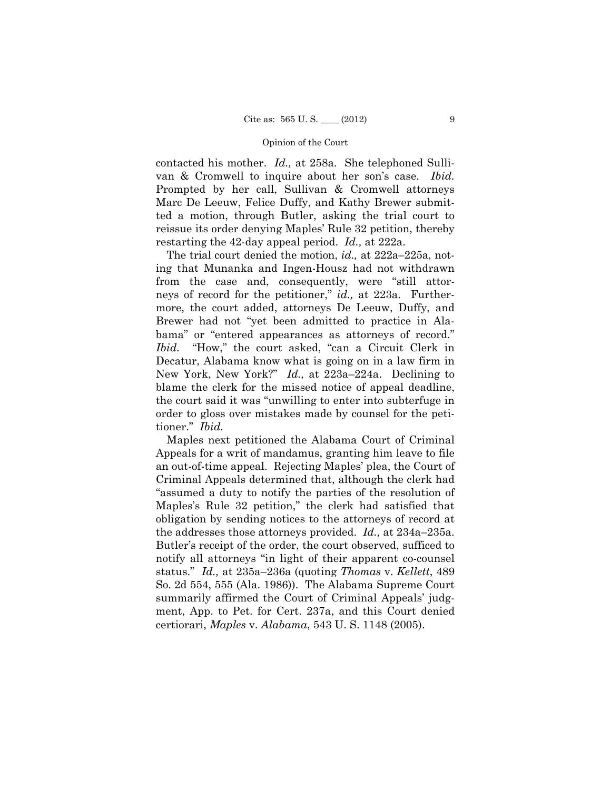contacted his mother. *Id.,* at 258a. She telephoned Sullivan & Cromwell to inquire about her son's case. *Ibid.* Prompted by her call, Sullivan & Cromwell attorneys Marc De Leeuw, Felice Duffy, and Kathy Brewer submitted a motion, through Butler, asking the trial court to reissue its order denying Maples' Rule 32 petition, thereby restarting the 42-day appeal period. *Id.,* at 222a.

 bama" or "entered appearances as attorneys of record." New York, New York?" *Id.,* at 223a–224a. Declining to The trial court denied the motion, *id.,* at 222a–225a, noting that Munanka and Ingen-Housz had not withdrawn from the case and, consequently, were "still attorneys of record for the petitioner," *id.,* at 223a. Furthermore, the court added, attorneys De Leeuw, Duffy, and Brewer had not "yet been admitted to practice in Ala-*Ibid.* "How," the court asked, "can a Circuit Clerk in Decatur, Alabama know what is going on in a law firm in blame the clerk for the missed notice of appeal deadline, the court said it was "unwilling to enter into subterfuge in order to gloss over mistakes made by counsel for the petitioner." *Ibid.* 

Maples next petitioned the Alabama Court of Criminal Appeals for a writ of mandamus, granting him leave to file an out-of-time appeal. Rejecting Maples' plea, the Court of Criminal Appeals determined that, although the clerk had "assumed a duty to notify the parties of the resolution of Maples's Rule 32 petition," the clerk had satisfied that obligation by sending notices to the attorneys of record at the addresses those attorneys provided. *Id.,* at 234a–235a. Butler's receipt of the order, the court observed, sufficed to notify all attorneys "in light of their apparent co-counsel status." *Id.,* at 235a–236a (quoting *Thomas* v. *Kellett*, 489 So. 2d 554, 555 (Ala. 1986)). The Alabama Supreme Court summarily affirmed the Court of Criminal Appeals' judgment, App. to Pet. for Cert. 237a, and this Court denied certiorari, *Maples* v. *Alabama*, 543 U. S. 1148 (2005).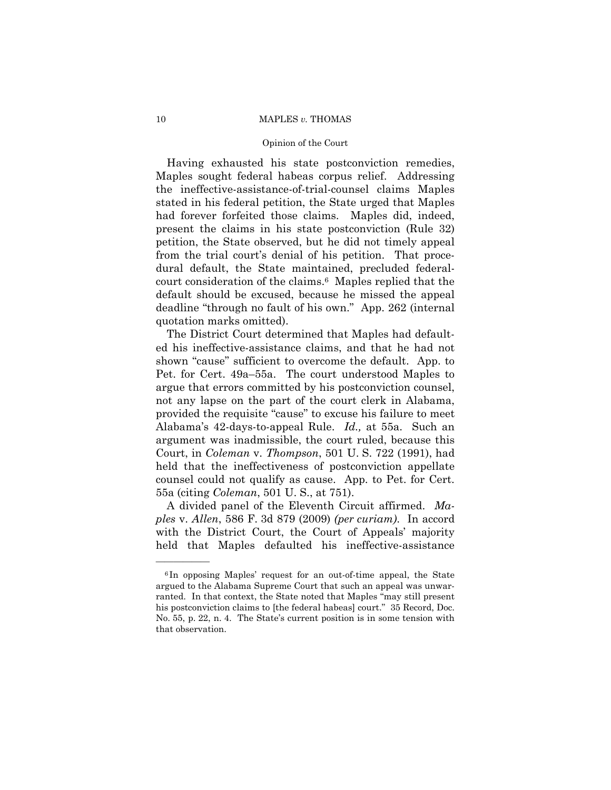#### Opinion of the Court

Having exhausted his state postconviction remedies, Maples sought federal habeas corpus relief. Addressing the ineffective-assistance-of-trial-counsel claims Maples stated in his federal petition, the State urged that Maples had forever forfeited those claims. Maples did, indeed, present the claims in his state postconviction (Rule 32) petition, the State observed, but he did not timely appeal from the trial court's denial of his petition. That procedural default, the State maintained, precluded federalcourt consideration of the claims.6 Maples replied that the default should be excused, because he missed the appeal deadline "through no fault of his own." App. 262 (internal quotation marks omitted).

The District Court determined that Maples had defaulted his ineffective-assistance claims, and that he had not shown "cause" sufficient to overcome the default. App. to Pet. for Cert. 49a–55a. The court understood Maples to argue that errors committed by his postconviction counsel, not any lapse on the part of the court clerk in Alabama, provided the requisite "cause" to excuse his failure to meet Alabama's 42-days-to-appeal Rule. *Id.,* at 55a. Such an argument was inadmissible, the court ruled, because this Court, in *Coleman* v. *Thompson*, 501 U. S. 722 (1991), had held that the ineffectiveness of postconviction appellate counsel could not qualify as cause. App. to Pet. for Cert. 55a (citing *Coleman*, 501 U. S., at 751).

A divided panel of the Eleventh Circuit affirmed. *Maples* v. *Allen*, 586 F. 3d 879 (2009) *(per curiam)*. In accord with the District Court, the Court of Appeals' majority held that Maples defaulted his ineffective-assistance

 his postconviction claims to [the federal habeas] court." 35 Record, Doc. <sup>6</sup> In opposing Maples' request for an out-of-time appeal, the State argued to the Alabama Supreme Court that such an appeal was unwarranted. In that context, the State noted that Maples "may still present No. 55, p. 22, n. 4. The State's current position is in some tension with that observation.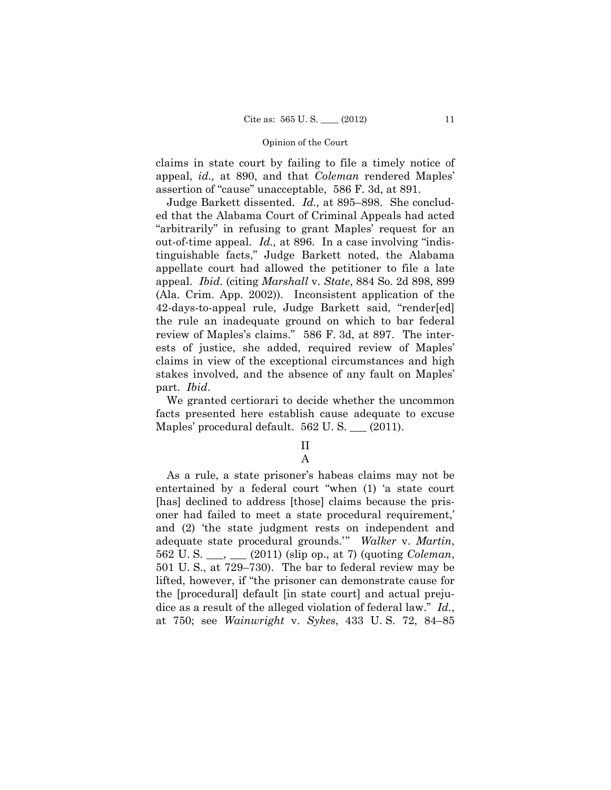claims in state court by failing to file a timely notice of appeal, *id.,* at 890, and that *Coleman* rendered Maples' assertion of "cause" unacceptable, 586 F. 3d, at 891.

Judge Barkett dissented. *Id.,* at 895–898. She concluded that the Alabama Court of Criminal Appeals had acted "arbitrarily" in refusing to grant Maples' request for an out-of-time appeal. *Id.,* at 896. In a case involving "indistinguishable facts," Judge Barkett noted, the Alabama appellate court had allowed the petitioner to file a late appeal. *Ibid.* (citing *Marshall* v. *State*, 884 So. 2d 898, 899 (Ala. Crim. App. 2002)). Inconsistent application of the 42-days-to-appeal rule, Judge Barkett said, "render[ed] the rule an inadequate ground on which to bar federal review of Maples's claims." 586 F. 3d, at 897. The interests of justice, she added, required review of Maples' claims in view of the exceptional circumstances and high stakes involved, and the absence of any fault on Maples' part. *Ibid*.

We granted certiorari to decide whether the uncommon facts presented here establish cause adequate to excuse Maples' procedural default. 562 U.S. \_\_ (2011).

# II

# A

As a rule, a state prisoner's habeas claims may not be entertained by a federal court "when (1) 'a state court [has] declined to address [those] claims because the prisoner had failed to meet a state procedural requirement,' and (2) 'the state judgment rests on independent and adequate state procedural grounds.'" *Walker* v. *Martin*, 562 U. S. \_\_\_, \_\_\_ (2011) (slip op., at 7) (quoting *Coleman*, 501 U. S., at 729–730). The bar to federal review may be lifted, however, if "the prisoner can demonstrate cause for the [procedural] default [in state court] and actual prejudice as a result of the alleged violation of federal law." *Id.*, at 750; see *Wainwright* v. *Sykes*, 433 U. S. 72, 84–85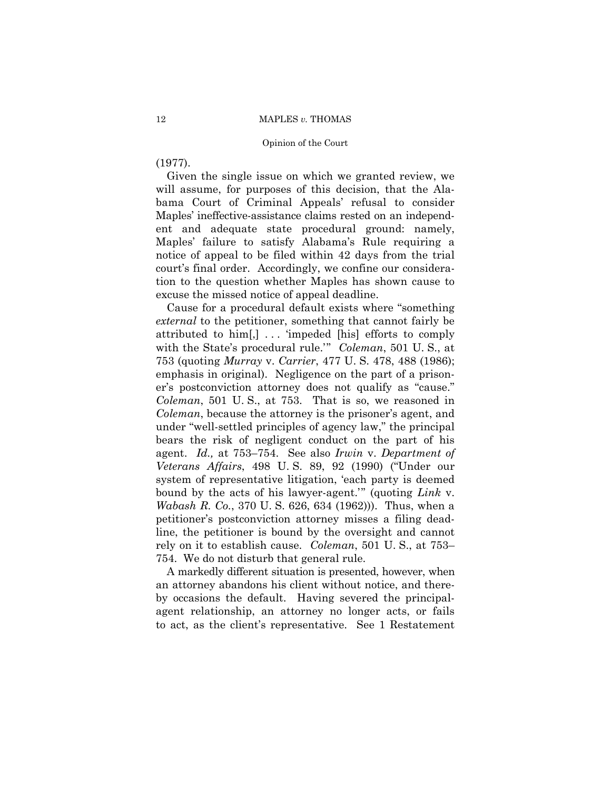#### Opinion of the Court

(1977).

Given the single issue on which we granted review, we will assume, for purposes of this decision, that the Alabama Court of Criminal Appeals' refusal to consider Maples' ineffective-assistance claims rested on an independent and adequate state procedural ground: namely, Maples' failure to satisfy Alabama's Rule requiring a notice of appeal to be filed within 42 days from the trial court's final order. Accordingly, we confine our consideration to the question whether Maples has shown cause to excuse the missed notice of appeal deadline.

Cause for a procedural default exists where "something *external* to the petitioner, something that cannot fairly be attributed to  $\text{him}[$ ,  $\ldots$  'impeded [his] efforts to comply with the State's procedural rule.'" *Coleman*, 501 U. S., at 753 (quoting *Murray* v. *Carrier*, 477 U. S. 478, 488 (1986); emphasis in original). Negligence on the part of a prisoner's postconviction attorney does not qualify as "cause." *Coleman*, 501 U. S., at 753. That is so, we reasoned in *Coleman*, because the attorney is the prisoner's agent, and under "well-settled principles of agency law," the principal bears the risk of negligent conduct on the part of his agent. *Id.,* at 753–754. See also *Irwin* v. *Department of Veterans Affairs*, 498 U. S. 89, 92 (1990) ("Under our system of representative litigation, 'each party is deemed bound by the acts of his lawyer-agent.'" (quoting *Link* v. *Wabash R. Co.*, 370 U. S. 626, 634 (1962))). Thus, when a petitioner's postconviction attorney misses a filing deadline, the petitioner is bound by the oversight and cannot rely on it to establish cause. *Coleman*, 501 U. S., at 753– 754. We do not disturb that general rule.

 agent relationship, an attorney no longer acts, or fails A markedly different situation is presented, however, when an attorney abandons his client without notice, and thereby occasions the default. Having severed the principalto act, as the client's representative. See 1 Restatement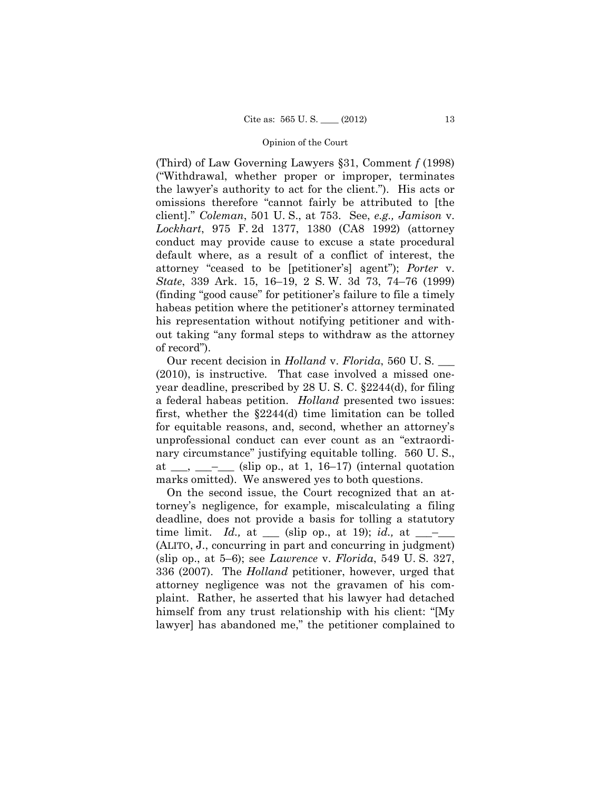(Third) of Law Governing Lawyers §31, Comment *f* (1998) ("Withdrawal, whether proper or improper, terminates the lawyer's authority to act for the client."). His acts or omissions therefore "cannot fairly be attributed to [the client]." *Coleman*, 501 U. S., at 753. See, *e.g., Jamison* v. *Lockhart*, 975 F. 2d 1377, 1380 (CA8 1992) (attorney conduct may provide cause to excuse a state procedural default where, as a result of a conflict of interest, the attorney "ceased to be [petitioner's] agent"); *Porter* v. *State*, 339 Ark. 15, 16–19, 2 S. W. 3d 73, 74–76 (1999) (finding "good cause" for petitioner's failure to file a timely habeas petition where the petitioner's attorney terminated his representation without notifying petitioner and without taking "any formal steps to withdraw as the attorney of record").

Our recent decision in *Holland* v. *Florida*, 560 U. S. \_\_\_ (2010), is instructive*.* That case involved a missed oneyear deadline, prescribed by 28 U. S. C. §2244(d), for filing a federal habeas petition. *Holland* presented two issues: first, whether the §2244(d) time limitation can be tolled for equitable reasons, and, second, whether an attorney's unprofessional conduct can ever count as an "extraordinary circumstance" justifying equitable tolling. 560 U. S., at  $\frac{1}{\sqrt{1-\frac{1}{\sqrt{1-\frac{1}{\sqrt{1-\frac{1}{\sqrt{1-\frac{1}{\sqrt{1-\frac{1}{\sqrt{1-\frac{1}{\sqrt{1-\frac{1}{\sqrt{1-\frac{1}{\sqrt{1-\frac{1}{\sqrt{1-\frac{1}{\sqrt{1-\frac{1}{\sqrt{1-\frac{1}{\sqrt{1-\frac{1}{\sqrt{1-\frac{1}{\sqrt{1-\frac{1}{\sqrt{1-\frac{1}{\sqrt{1-\frac{1}{\sqrt{1-\frac{1}{\sqrt{1-\frac{1}{\sqrt{1-\frac{1}{\sqrt{1-\frac{1}{\sqrt{1-\frac{1}{\sqrt{1-\frac{1}{\sqrt{1-\$ marks omitted). We answered yes to both questions.

On the second issue, the Court recognized that an attorney's negligence, for example, miscalculating a filing deadline, does not provide a basis for tolling a statutory time limit. *Id.*, at  $\Box$  (slip op., at 19); *id.*, at (ALITO, J., concurring in part and concurring in judgment) (slip op., at 5–6); see *Lawrence* v. *Florida*, 549 U. S. 327, 336 (2007). The *Holland* petitioner, however, urged that attorney negligence was not the gravamen of his complaint. Rather, he asserted that his lawyer had detached himself from any trust relationship with his client: "[My lawyer] has abandoned me," the petitioner complained to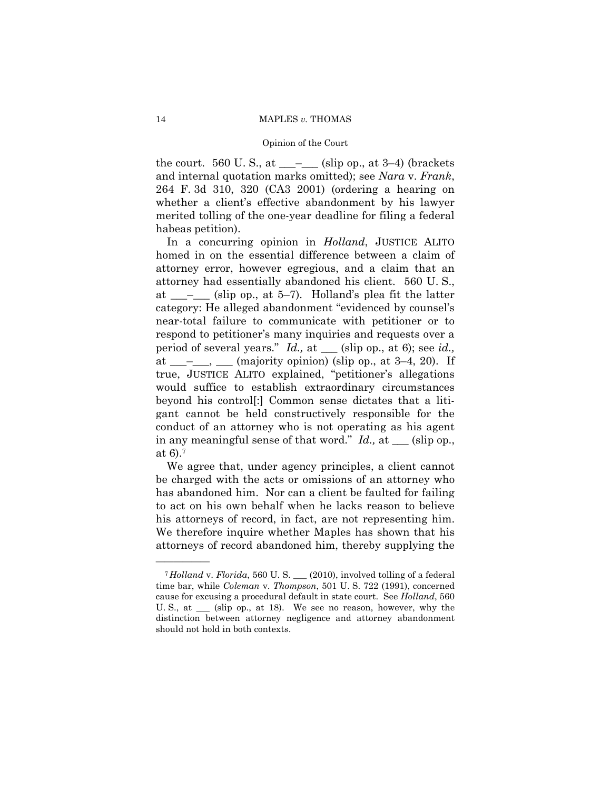the court. 560 U.S., at  $\_\_\_\_\_$  (slip op., at 3–4) (brackets and internal quotation marks omitted); see *Nara* v. *Frank*, 264 F. 3d 310, 320 (CA3 2001) (ordering a hearing on whether a client's effective abandonment by his lawyer merited tolling of the one-year deadline for filing a federal habeas petition).

In a concurring opinion in *Holland*, JUSTICE ALITO homed in on the essential difference between a claim of attorney error, however egregious, and a claim that an attorney had essentially abandoned his client. 560 U. S., at  $\_\_\_\_\_\_\$ (slip op., at 5–7). Holland's plea fit the latter category: He alleged abandonment "evidenced by counsel's near-total failure to communicate with petitioner or to respond to petitioner's many inquiries and requests over a period of several years." *Id.,* at \_\_\_ (slip op., at 6); see *id.,*  at  $\_\_\_\_\_\_\_\$  (majority opinion) (slip op., at 3–4, 20). If true, JUSTICE ALITO explained, "petitioner's allegations would suffice to establish extraordinary circumstances beyond his control[:] Common sense dictates that a litigant cannot be held constructively responsible for the conduct of an attorney who is not operating as his agent in any meaningful sense of that word." *Id.*, at \_\_\_ (slip op., at 6).7

We agree that, under agency principles, a client cannot be charged with the acts or omissions of an attorney who has abandoned him. Nor can a client be faulted for failing to act on his own behalf when he lacks reason to believe his attorneys of record, in fact, are not representing him. We therefore inquire whether Maples has shown that his attorneys of record abandoned him, thereby supplying the

<sup>7</sup>*Holland* v. *Florida*, 560 U. S. \_\_\_ (2010), involved tolling of a federal time bar, while *Coleman* v. *Thompson*, 501 U. S. 722 (1991), concerned cause for excusing a procedural default in state court. See *Holland*, 560 U. S., at \_\_\_ (slip op., at 18). We see no reason, however, why the distinction between attorney negligence and attorney abandonment should not hold in both contexts.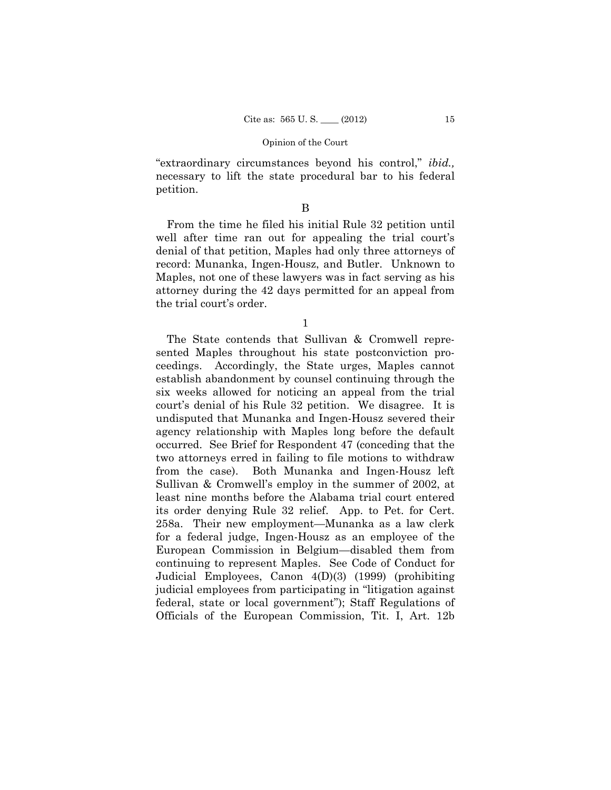"extraordinary circumstances beyond his control," *ibid.,*  necessary to lift the state procedural bar to his federal petition.

### B

From the time he filed his initial Rule 32 petition until well after time ran out for appealing the trial court's denial of that petition, Maples had only three attorneys of record: Munanka, Ingen-Housz, and Butler. Unknown to Maples, not one of these lawyers was in fact serving as his attorney during the 42 days permitted for an appeal from the trial court's order.

1

The State contends that Sullivan & Cromwell represented Maples throughout his state postconviction proceedings. Accordingly, the State urges, Maples cannot establish abandonment by counsel continuing through the six weeks allowed for noticing an appeal from the trial court's denial of his Rule 32 petition. We disagree. It is undisputed that Munanka and Ingen-Housz severed their agency relationship with Maples long before the default occurred. See Brief for Respondent 47 (conceding that the two attorneys erred in failing to file motions to withdraw from the case). Both Munanka and Ingen-Housz left Sullivan & Cromwell's employ in the summer of 2002, at least nine months before the Alabama trial court entered its order denying Rule 32 relief. App. to Pet. for Cert. 258a. Their new employment—Munanka as a law clerk for a federal judge, Ingen-Housz as an employee of the European Commission in Belgium—disabled them from continuing to represent Maples. See Code of Conduct for Judicial Employees, Canon 4(D)(3) (1999) (prohibiting judicial employees from participating in "litigation against federal, state or local government"); Staff Regulations of Officials of the European Commission, Tit. I, Art. 12b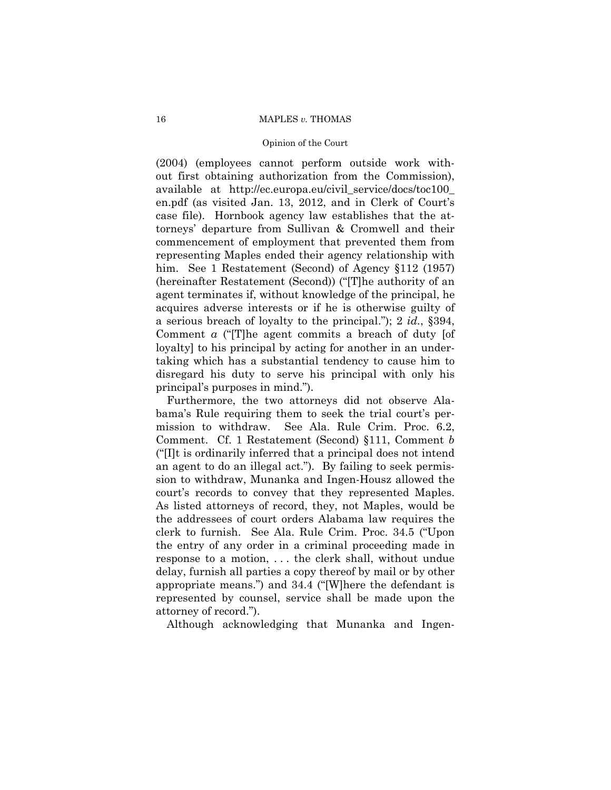#### Opinion of the Court

(2004) (employees cannot perform outside work without first obtaining authorization from the Commission), available at http://ec.europa.eu/civil\_service/docs/toc100\_ en.pdf (as visited Jan. 13, 2012, and in Clerk of Court's case file). Hornbook agency law establishes that the attorneys' departure from Sullivan & Cromwell and their commencement of employment that prevented them from representing Maples ended their agency relationship with him. See 1 Restatement (Second) of Agency §112 (1957) (hereinafter Restatement (Second)) ("[T]he authority of an agent terminates if, without knowledge of the principal, he acquires adverse interests or if he is otherwise guilty of a serious breach of loyalty to the principal."); 2 *id.*, §394, Comment *a* ("[T]he agent commits a breach of duty [of loyalty] to his principal by acting for another in an undertaking which has a substantial tendency to cause him to disregard his duty to serve his principal with only his principal's purposes in mind.").

 clerk to furnish. See Ala. Rule Crim. Proc. 34.5 ("Upon Furthermore, the two attorneys did not observe Alabama's Rule requiring them to seek the trial court's permission to withdraw. See Ala. Rule Crim. Proc. 6.2, Comment. Cf. 1 Restatement (Second) §111, Comment *b*  ("[I]t is ordinarily inferred that a principal does not intend an agent to do an illegal act."). By failing to seek permission to withdraw, Munanka and Ingen-Housz allowed the court's records to convey that they represented Maples. As listed attorneys of record, they, not Maples, would be the addressees of court orders Alabama law requires the the entry of any order in a criminal proceeding made in response to a motion, . . . the clerk shall, without undue delay, furnish all parties a copy thereof by mail or by other appropriate means.") and 34.4 ("[W]here the defendant is represented by counsel, service shall be made upon the attorney of record.").

Although acknowledging that Munanka and Ingen-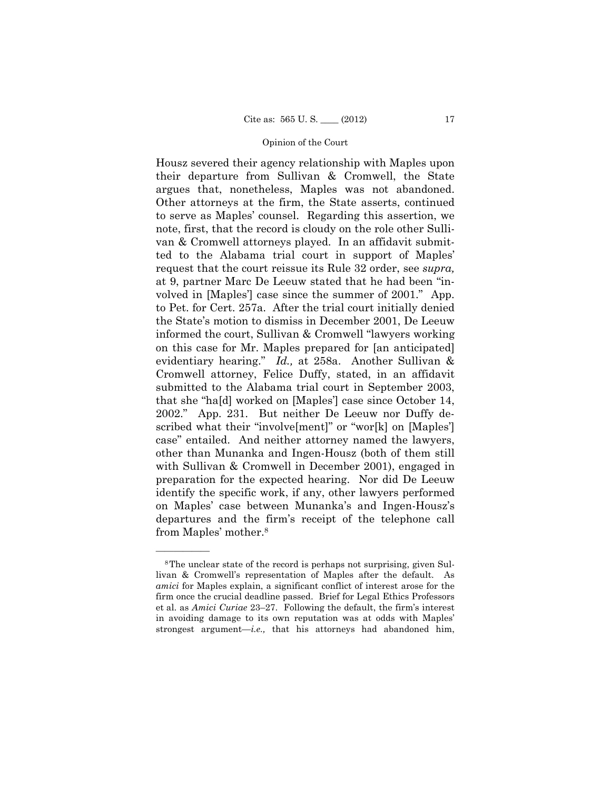Housz severed their agency relationship with Maples upon their departure from Sullivan & Cromwell, the State argues that, nonetheless, Maples was not abandoned. Other attorneys at the firm, the State asserts, continued to serve as Maples' counsel. Regarding this assertion, we note, first, that the record is cloudy on the role other Sullivan & Cromwell attorneys played. In an affidavit submitted to the Alabama trial court in support of Maples' request that the court reissue its Rule 32 order, see *supra,* at 9, partner Marc De Leeuw stated that he had been "involved in [Maples'] case since the summer of 2001." App. to Pet. for Cert. 257a. After the trial court initially denied the State's motion to dismiss in December 2001, De Leeuw informed the court, Sullivan & Cromwell "lawyers working on this case for Mr. Maples prepared for [an anticipated] evidentiary hearing." *Id.,* at 258a. Another Sullivan & Cromwell attorney, Felice Duffy, stated, in an affidavit submitted to the Alabama trial court in September 2003, that she "ha[d] worked on [Maples'] case since October 14, 2002." App. 231. But neither De Leeuw nor Duffy described what their "involve[ment]" or "wor[k] on [Maples'] case" entailed. And neither attorney named the lawyers, other than Munanka and Ingen-Housz (both of them still with Sullivan & Cromwell in December 2001), engaged in preparation for the expected hearing. Nor did De Leeuw identify the specific work, if any, other lawyers performed on Maples' case between Munanka's and Ingen-Housz's departures and the firm's receipt of the telephone call from Maples' mother.8

 *amici* for Maples explain, a significant conflict of interest arose for the 8The unclear state of the record is perhaps not surprising, given Sullivan & Cromwell's representation of Maples after the default. As firm once the crucial deadline passed. Brief for Legal Ethics Professors et al. as *Amici Curiae* 23–27. Following the default, the firm's interest in avoiding damage to its own reputation was at odds with Maples' strongest argument—*i.e.,* that his attorneys had abandoned him,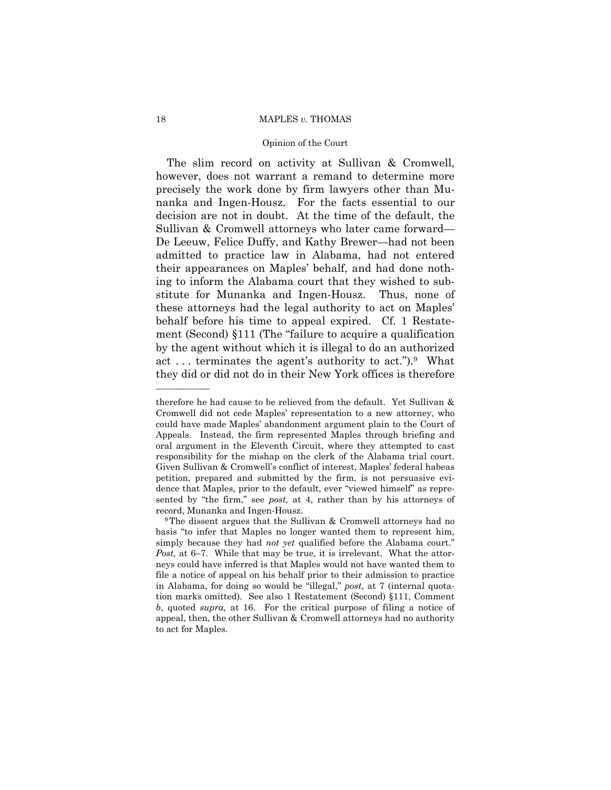#### Opinion of the Court

The slim record on activity at Sullivan & Cromwell, however, does not warrant a remand to determine more precisely the work done by firm lawyers other than Munanka and Ingen-Housz. For the facts essential to our decision are not in doubt. At the time of the default, the Sullivan & Cromwell attorneys who later came forward— De Leeuw, Felice Duffy, and Kathy Brewer—had not been admitted to practice law in Alabama, had not entered their appearances on Maples' behalf, and had done nothing to inform the Alabama court that they wished to substitute for Munanka and Ingen-Housz. Thus, none of these attorneys had the legal authority to act on Maples' behalf before his time to appeal expired. Cf. 1 Restatement (Second) §111 (The "failure to acquire a qualification by the agent without which it is illegal to do an authorized act . . . terminates the agent's authority to act.").9 What they did or did not do in their New York offices is therefore

therefore he had cause to be relieved from the default. Yet Sullivan & Cromwell did not cede Maples' representation to a new attorney, who could have made Maples' abandonment argument plain to the Court of Appeals. Instead, the firm represented Maples through briefing and oral argument in the Eleventh Circuit, where they attempted to cast responsibility for the mishap on the clerk of the Alabama trial court. Given Sullivan & Cromwell's conflict of interest, Maples' federal habeas petition, prepared and submitted by the firm, is not persuasive evidence that Maples, prior to the default, ever "viewed himself" as represented by "the firm," see *post,* at 4, rather than by his attorneys of

record, Munanka and Ingen-Housz.<br><sup>9</sup>The dissent argues that the Sullivan & Cromwell attorneys had no basis "to infer that Maples no longer wanted them to represent him, simply because they had *not yet* qualified before the Alabama court." *Post,* at 6–7. While that may be true, it is irrelevant. What the attorneys could have inferred is that Maples would not have wanted them to file a notice of appeal on his behalf prior to their admission to practice in Alabama, for doing so would be "illegal," *post*, at 7 (internal quotation marks omitted). See also 1 Restatement (Second) §111, Comment *b*, quoted *supra,* at 16. For the critical purpose of filing a notice of appeal, then, the other Sullivan & Cromwell attorneys had no authority to act for Maples.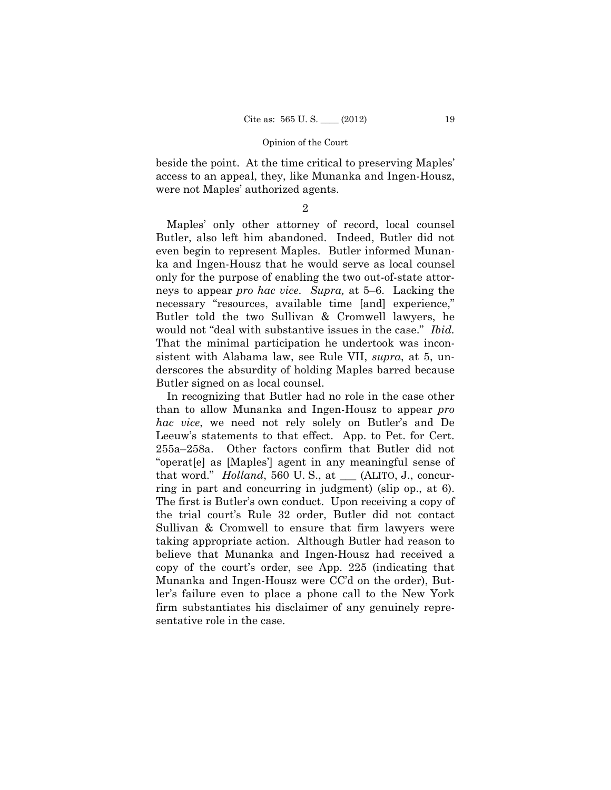beside the point. At the time critical to preserving Maples' access to an appeal, they, like Munanka and Ingen-Housz, were not Maples' authorized agents.

2

Maples' only other attorney of record, local counsel Butler, also left him abandoned. Indeed, Butler did not even begin to represent Maples. Butler informed Munanka and Ingen-Housz that he would serve as local counsel only for the purpose of enabling the two out-of-state attorneys to appear *pro hac vice*. *Supra,* at 5–6. Lacking the necessary "resources, available time [and] experience," Butler told the two Sullivan & Cromwell lawyers, he would not "deal with substantive issues in the case." *Ibid.* That the minimal participation he undertook was inconsistent with Alabama law, see Rule VII, *supra*, at 5, underscores the absurdity of holding Maples barred because Butler signed on as local counsel.

In recognizing that Butler had no role in the case other than to allow Munanka and Ingen-Housz to appear *pro hac vice*, we need not rely solely on Butler's and De Leeuw's statements to that effect. App. to Pet. for Cert. 255a–258a. Other factors confirm that Butler did not "operat[e] as [Maples'] agent in any meaningful sense of that word." *Holland*, 560 U. S., at \_\_\_ (ALITO, J., concurring in part and concurring in judgment) (slip op., at 6). The first is Butler's own conduct. Upon receiving a copy of the trial court's Rule 32 order, Butler did not contact Sullivan & Cromwell to ensure that firm lawyers were taking appropriate action. Although Butler had reason to believe that Munanka and Ingen-Housz had received a copy of the court's order, see App. 225 (indicating that Munanka and Ingen-Housz were CC'd on the order), Butler's failure even to place a phone call to the New York firm substantiates his disclaimer of any genuinely representative role in the case.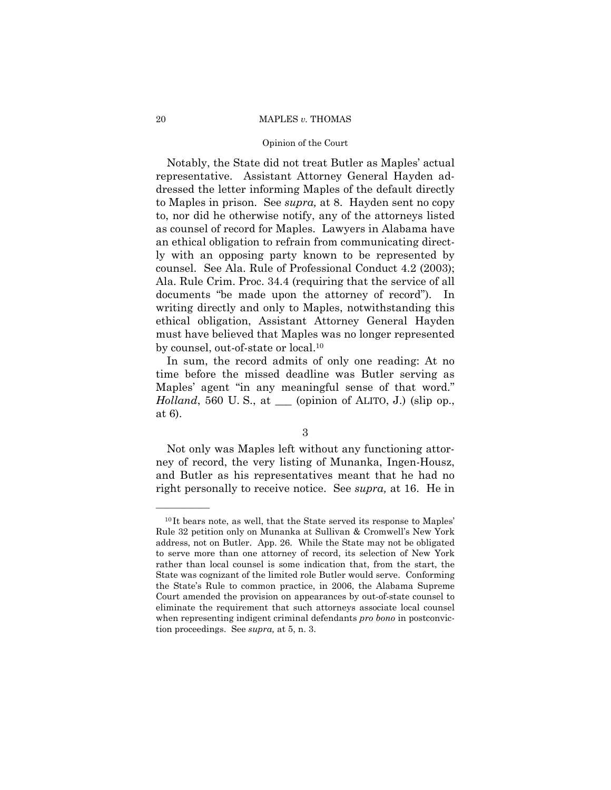#### Opinion of the Court

Notably, the State did not treat Butler as Maples' actual representative. Assistant Attorney General Hayden addressed the letter informing Maples of the default directly to Maples in prison. See *supra,* at 8. Hayden sent no copy to, nor did he otherwise notify, any of the attorneys listed as counsel of record for Maples. Lawyers in Alabama have an ethical obligation to refrain from communicating directly with an opposing party known to be represented by counsel. See Ala. Rule of Professional Conduct 4.2 (2003); Ala. Rule Crim. Proc. 34.4 (requiring that the service of all documents "be made upon the attorney of record"). In writing directly and only to Maples, notwithstanding this ethical obligation, Assistant Attorney General Hayden must have believed that Maples was no longer represented by counsel, out-of-state or local.10

In sum, the record admits of only one reading: At no time before the missed deadline was Butler serving as Maples' agent "in any meaningful sense of that word." *Holland*, 560 U.S., at <u>equels</u> (opinion of ALITO, J.) (slip op., at 6).

3

Not only was Maples left without any functioning attorney of record, the very listing of Munanka, Ingen-Housz, and Butler as his representatives meant that he had no right personally to receive notice. See *supra,* at 16. He in

 address, not on Butler. App. 26. While the State may not be obligated <sup>10</sup> It bears note, as well, that the State served its response to Maples' Rule 32 petition only on Munanka at Sullivan & Cromwell's New York to serve more than one attorney of record, its selection of New York rather than local counsel is some indication that, from the start, the State was cognizant of the limited role Butler would serve. Conforming the State's Rule to common practice, in 2006, the Alabama Supreme Court amended the provision on appearances by out-of-state counsel to eliminate the requirement that such attorneys associate local counsel when representing indigent criminal defendants *pro bono* in postconviction proceedings. See *supra,* at 5, n. 3.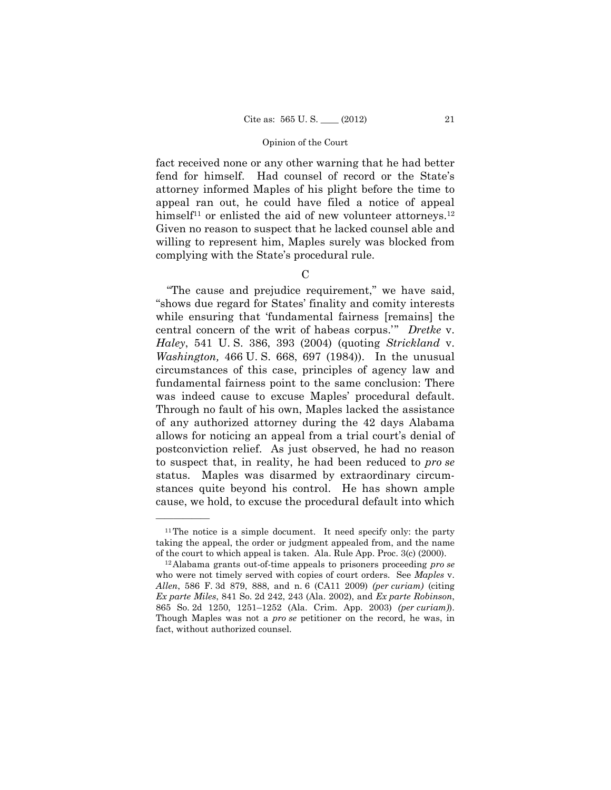himself<sup>11</sup> or enlisted the aid of new volunteer attorneys.<sup>12</sup> fact received none or any other warning that he had better fend for himself. Had counsel of record or the State's attorney informed Maples of his plight before the time to appeal ran out, he could have filed a notice of appeal Given no reason to suspect that he lacked counsel able and willing to represent him, Maples surely was blocked from complying with the State's procedural rule.

 $\mathcal{C}$ 

"The cause and prejudice requirement," we have said, "shows due regard for States' finality and comity interests while ensuring that 'fundamental fairness [remains] the central concern of the writ of habeas corpus.'" *Dretke* v. *Haley*, 541 U. S. 386, 393 (2004) (quoting *Strickland* v. *Washington,* 466 U. S. 668, 697 (1984)). In the unusual circumstances of this case, principles of agency law and fundamental fairness point to the same conclusion: There was indeed cause to excuse Maples' procedural default. Through no fault of his own, Maples lacked the assistance of any authorized attorney during the 42 days Alabama allows for noticing an appeal from a trial court's denial of postconviction relief. As just observed, he had no reason to suspect that, in reality, he had been reduced to *pro se*  status. Maples was disarmed by extraordinary circumstances quite beyond his control. He has shown ample cause, we hold, to excuse the procedural default into which

 $11$ The notice is a simple document. It need specify only: the party taking the appeal, the order or judgment appealed from, and the name of the court to which appeal is taken. Ala. Rule App. Proc. 3(c) (2000). 12Alabama grants out-of-time appeals to prisoners proceeding *pro se*

who were not timely served with copies of court orders. See *Maples* v. *Allen*, 586 F. 3d 879, 888, and n. 6 (CA11 2009) *(per curiam)* (citing *Ex parte Miles*, 841 So. 2d 242, 243 (Ala. 2002), and *Ex parte Robinson*, 865 So. 2d 1250, 1251–1252 (Ala. Crim. App. 2003) *(per curiam)*). Though Maples was not a *pro se* petitioner on the record, he was, in fact, without authorized counsel.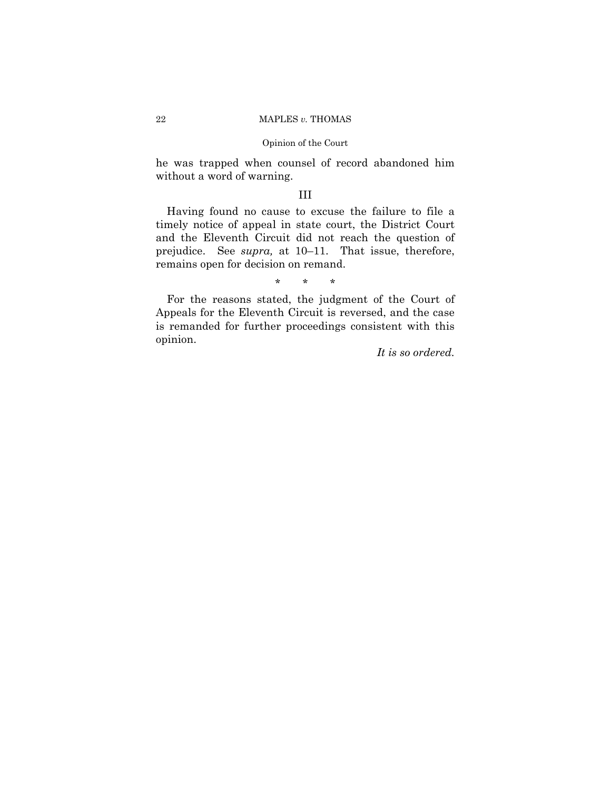he was trapped when counsel of record abandoned him without a word of warning.

# III

Having found no cause to excuse the failure to file a timely notice of appeal in state court, the District Court and the Eleventh Circuit did not reach the question of prejudice. See *supra,* at 10–11. That issue, therefore, remains open for decision on remand.

\* \* \*

For the reasons stated, the judgment of the Court of Appeals for the Eleventh Circuit is reversed, and the case is remanded for further proceedings consistent with this opinion.

*It is so ordered.*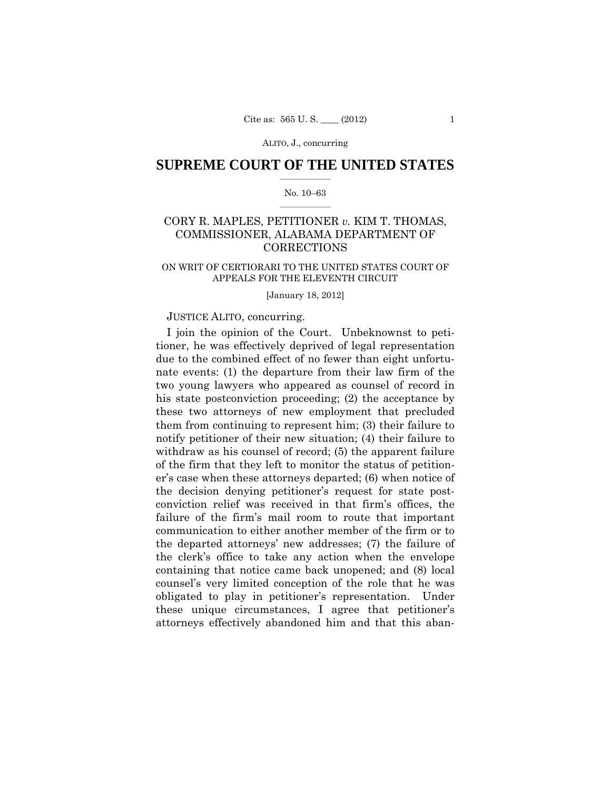#### ALITO, J., concurring

## $\frac{1}{2}$  ,  $\frac{1}{2}$  ,  $\frac{1}{2}$  ,  $\frac{1}{2}$  ,  $\frac{1}{2}$  ,  $\frac{1}{2}$  ,  $\frac{1}{2}$ **SUPREME COURT OF THE UNITED STATES**

#### $\frac{1}{2}$  ,  $\frac{1}{2}$  ,  $\frac{1}{2}$  ,  $\frac{1}{2}$  ,  $\frac{1}{2}$  ,  $\frac{1}{2}$ No. 10–63

# CORY R. MAPLES, PETITIONER *v.* KIM T. THOMAS, COMMISSIONER, ALABAMA DEPARTMENT OF **CORRECTIONS**

### ON WRIT OF CERTIORARI TO THE UNITED STATES COURT OF APPEALS FOR THE ELEVENTH CIRCUIT

#### [January 18, 2012]

#### JUSTICE ALITO, concurring.

 communication to either another member of the firm or to I join the opinion of the Court. Unbeknownst to petitioner, he was effectively deprived of legal representation due to the combined effect of no fewer than eight unfortunate events: (1) the departure from their law firm of the two young lawyers who appeared as counsel of record in his state postconviction proceeding; (2) the acceptance by these two attorneys of new employment that precluded them from continuing to represent him; (3) their failure to notify petitioner of their new situation; (4) their failure to withdraw as his counsel of record; (5) the apparent failure of the firm that they left to monitor the status of petitioner's case when these attorneys departed; (6) when notice of the decision denying petitioner's request for state postconviction relief was received in that firm's offices, the failure of the firm's mail room to route that important the departed attorneys' new addresses; (7) the failure of the clerk's office to take any action when the envelope containing that notice came back unopened; and (8) local counsel's very limited conception of the role that he was obligated to play in petitioner's representation. Under these unique circumstances, I agree that petitioner's attorneys effectively abandoned him and that this aban-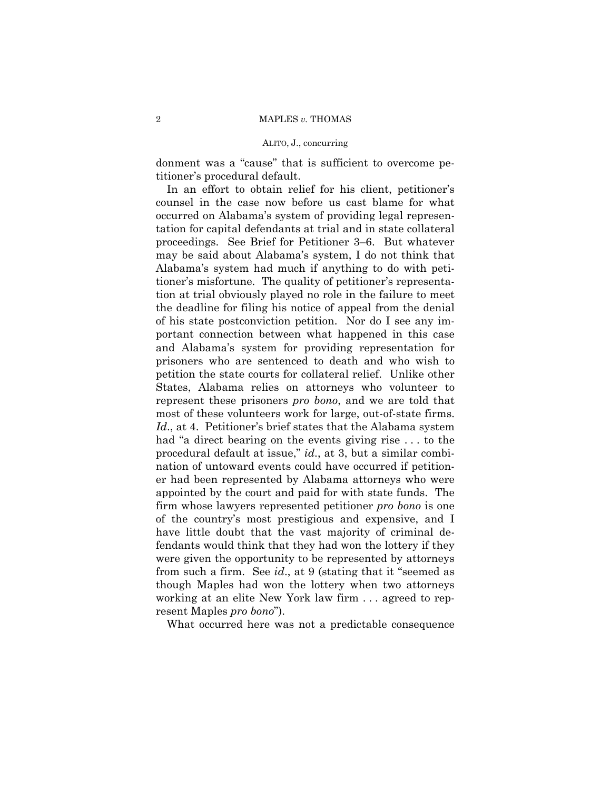#### ALITO, J., concurring

donment was a "cause" that is sufficient to overcome petitioner's procedural default.

In an effort to obtain relief for his client, petitioner's counsel in the case now before us cast blame for what occurred on Alabama's system of providing legal representation for capital defendants at trial and in state collateral proceedings. See Brief for Petitioner 3–6. But whatever may be said about Alabama's system, I do not think that Alabama's system had much if anything to do with petitioner's misfortune. The quality of petitioner's representation at trial obviously played no role in the failure to meet the deadline for filing his notice of appeal from the denial of his state postconviction petition. Nor do I see any important connection between what happened in this case and Alabama's system for providing representation for prisoners who are sentenced to death and who wish to petition the state courts for collateral relief. Unlike other States, Alabama relies on attorneys who volunteer to represent these prisoners *pro bono*, and we are told that most of these volunteers work for large, out-of-state firms. *Id*., at 4. Petitioner's brief states that the Alabama system had "a direct bearing on the events giving rise... to the procedural default at issue," *id*., at 3, but a similar combination of untoward events could have occurred if petitioner had been represented by Alabama attorneys who were appointed by the court and paid for with state funds. The firm whose lawyers represented petitioner *pro bono* is one of the country's most prestigious and expensive, and I have little doubt that the vast majority of criminal defendants would think that they had won the lottery if they were given the opportunity to be represented by attorneys from such a firm. See *id*., at 9 (stating that it "seemed as though Maples had won the lottery when two attorneys working at an elite New York law firm . . . agreed to represent Maples *pro bono*").

What occurred here was not a predictable consequence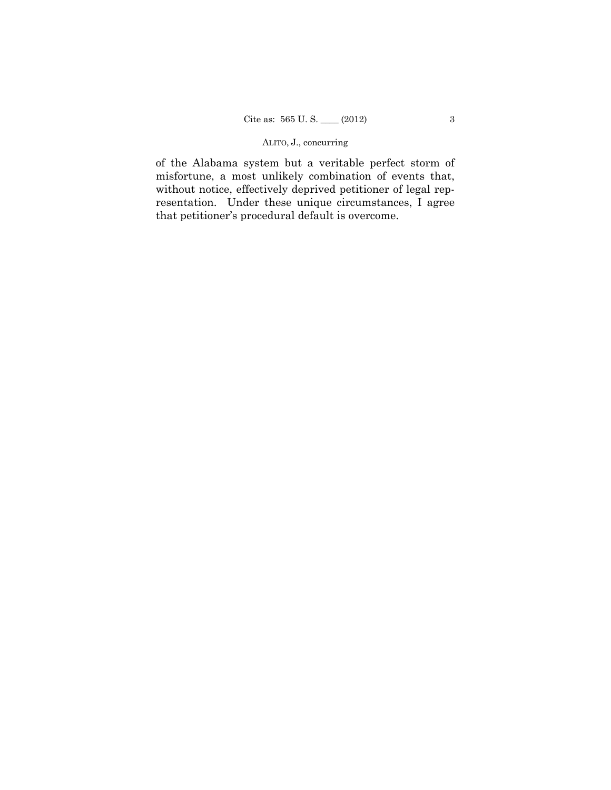# ALITO, J., concurring

of the Alabama system but a veritable perfect storm of misfortune, a most unlikely combination of events that, without notice, effectively deprived petitioner of legal representation. Under these unique circumstances, I agree that petitioner's procedural default is overcome.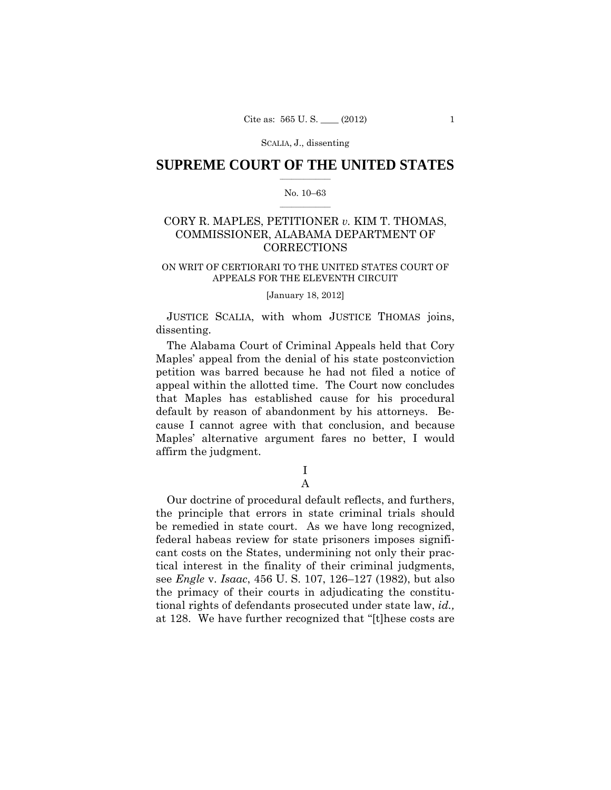## $\frac{1}{2}$  ,  $\frac{1}{2}$  ,  $\frac{1}{2}$  ,  $\frac{1}{2}$  ,  $\frac{1}{2}$  ,  $\frac{1}{2}$  ,  $\frac{1}{2}$ **SUPREME COURT OF THE UNITED STATES**

#### $\frac{1}{2}$  ,  $\frac{1}{2}$  ,  $\frac{1}{2}$  ,  $\frac{1}{2}$  ,  $\frac{1}{2}$  ,  $\frac{1}{2}$ No. 10–63

# CORY R. MAPLES, PETITIONER *v.* KIM T. THOMAS, COMMISSIONER, ALABAMA DEPARTMENT OF **CORRECTIONS**

### ON WRIT OF CERTIORARI TO THE UNITED STATES COURT OF APPEALS FOR THE ELEVENTH CIRCUIT

#### [January 18, 2012]

 JUSTICE SCALIA, with whom JUSTICE THOMAS joins, dissenting.

The Alabama Court of Criminal Appeals held that Cory Maples' appeal from the denial of his state postconviction petition was barred because he had not filed a notice of appeal within the allotted time. The Court now concludes that Maples has established cause for his procedural default by reason of abandonment by his attorneys. Because I cannot agree with that conclusion, and because Maples' alternative argument fares no better, I would affirm the judgment.

> I A

Our doctrine of procedural default reflects, and furthers, the principle that errors in state criminal trials should be remedied in state court. As we have long recognized, federal habeas review for state prisoners imposes significant costs on the States, undermining not only their practical interest in the finality of their criminal judgments, see *Engle* v. *Isaac*, 456 U. S. 107, 126–127 (1982), but also the primacy of their courts in adjudicating the constitutional rights of defendants prosecuted under state law, *id.,*  at 128. We have further recognized that "[t]hese costs are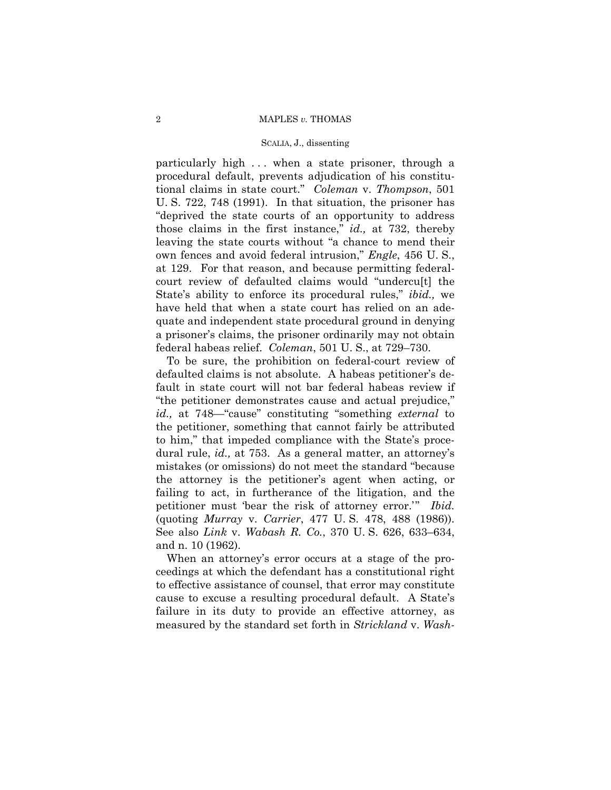particularly high . . . when a state prisoner, through a procedural default, prevents adjudication of his constitutional claims in state court." *Coleman* v. *Thompson*, 501 U. S. 722, 748 (1991). In that situation, the prisoner has "deprived the state courts of an opportunity to address those claims in the first instance," *id.,* at 732, thereby leaving the state courts without "a chance to mend their own fences and avoid federal intrusion," *Engle*, 456 U. S., at 129. For that reason, and because permitting federalcourt review of defaulted claims would "undercu[t] the State's ability to enforce its procedural rules," *ibid.,* we have held that when a state court has relied on an adequate and independent state procedural ground in denying a prisoner's claims, the prisoner ordinarily may not obtain federal habeas relief. *Coleman*, 501 U. S., at 729–730.

To be sure, the prohibition on federal-court review of defaulted claims is not absolute. A habeas petitioner's default in state court will not bar federal habeas review if "the petitioner demonstrates cause and actual prejudice," *id.,* at 748—"cause" constituting "something *external* to the petitioner, something that cannot fairly be attributed to him," that impeded compliance with the State's procedural rule, *id.,* at 753. As a general matter, an attorney's mistakes (or omissions) do not meet the standard "because the attorney is the petitioner's agent when acting, or failing to act, in furtherance of the litigation, and the petitioner must 'bear the risk of attorney error.'" *Ibid.*  (quoting *Murray* v. *Carrier*, 477 U. S. 478, 488 (1986)). See also *Link* v. *Wabash R. Co.*, 370 U. S. 626, 633–634, and n. 10 (1962).

 failure in its duty to provide an effective attorney, as When an attorney's error occurs at a stage of the proceedings at which the defendant has a constitutional right to effective assistance of counsel, that error may constitute cause to excuse a resulting procedural default. A State's measured by the standard set forth in *Strickland* v. *Wash-*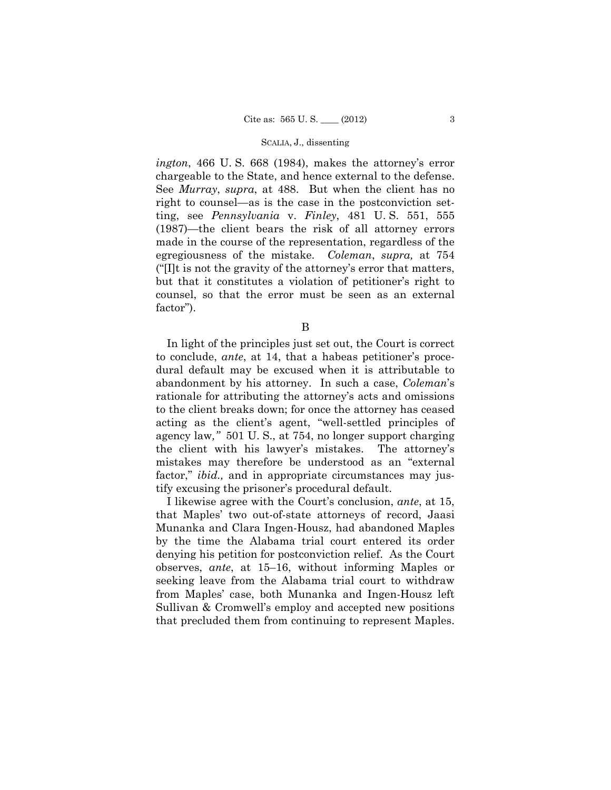*ington*, 466 U. S. 668 (1984), makes the attorney's error chargeable to the State, and hence external to the defense. See *Murray*, *supra*, at 488. But when the client has no right to counsel—as is the case in the postconviction setting, see *Pennsylvania* v. *Finley*, 481 U. S. 551, 555 (1987)—the client bears the risk of all attorney errors made in the course of the representation, regardless of the egregiousness of the mistake. *Coleman*, *supra,* at 754 ("[I]t is not the gravity of the attorney's error that matters, but that it constitutes a violation of petitioner's right to counsel, so that the error must be seen as an external factor").

B

 agency law*,"* 501 U. S., at 754, no longer support charging In light of the principles just set out, the Court is correct to conclude, *ante*, at 14, that a habeas petitioner's procedural default may be excused when it is attributable to abandonment by his attorney. In such a case, *Coleman*'s rationale for attributing the attorney's acts and omissions to the client breaks down; for once the attorney has ceased acting as the client's agent, "well-settled principles of the client with his lawyer's mistakes. The attorney's mistakes may therefore be understood as an "external factor," *ibid.*, and in appropriate circumstances may justify excusing the prisoner's procedural default.

I likewise agree with the Court's conclusion, *ante*, at 15, that Maples' two out-of-state attorneys of record, Jaasi Munanka and Clara Ingen-Housz, had abandoned Maples by the time the Alabama trial court entered its order denying his petition for postconviction relief. As the Court observes, *ante*, at 15–16, without informing Maples or seeking leave from the Alabama trial court to withdraw from Maples' case, both Munanka and Ingen-Housz left Sullivan & Cromwell's employ and accepted new positions that precluded them from continuing to represent Maples.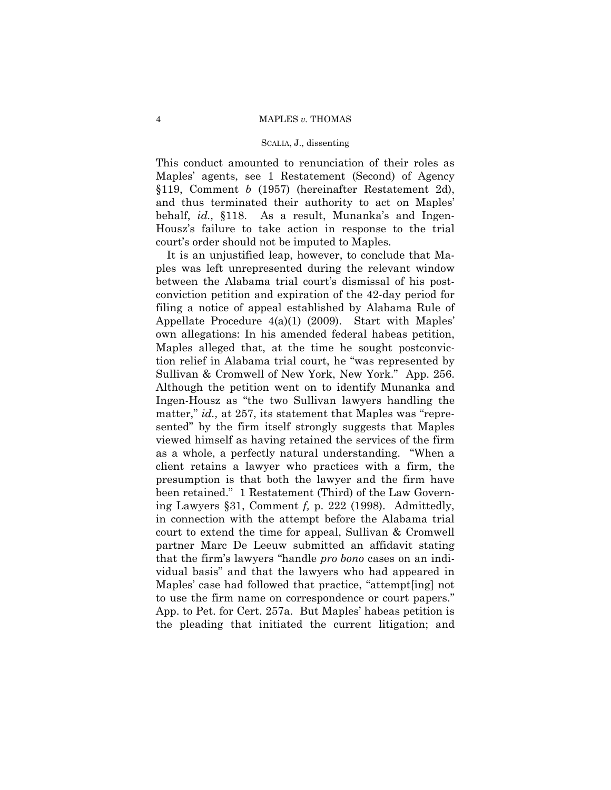#### SCALIA, J., dissenting

This conduct amounted to renunciation of their roles as Maples' agents, see 1 Restatement (Second) of Agency §119, Comment *b* (1957) (hereinafter Restatement 2d), and thus terminated their authority to act on Maples' behalf, *id.,* §118. As a result, Munanka's and Ingen-Housz's failure to take action in response to the trial court's order should not be imputed to Maples.

It is an unjustified leap, however, to conclude that Maples was left unrepresented during the relevant window between the Alabama trial court's dismissal of his postconviction petition and expiration of the 42-day period for filing a notice of appeal established by Alabama Rule of Appellate Procedure 4(a)(1) (2009). Start with Maples' own allegations: In his amended federal habeas petition, Maples alleged that, at the time he sought postconviction relief in Alabama trial court, he "was represented by Sullivan & Cromwell of New York, New York." App. 256. Although the petition went on to identify Munanka and Ingen-Housz as "the two Sullivan lawyers handling the matter," *id.*, at 257, its statement that Maples was "represented" by the firm itself strongly suggests that Maples viewed himself as having retained the services of the firm as a whole, a perfectly natural understanding. "When a client retains a lawyer who practices with a firm, the presumption is that both the lawyer and the firm have been retained." 1 Restatement (Third) of the Law Governing Lawyers §31, Comment *f,* p. 222 (1998). Admittedly, in connection with the attempt before the Alabama trial court to extend the time for appeal, Sullivan & Cromwell partner Marc De Leeuw submitted an affidavit stating that the firm's lawyers "handle *pro bono* cases on an individual basis" and that the lawyers who had appeared in Maples' case had followed that practice, "attempt[ing] not to use the firm name on correspondence or court papers." App. to Pet. for Cert. 257a. But Maples' habeas petition is the pleading that initiated the current litigation; and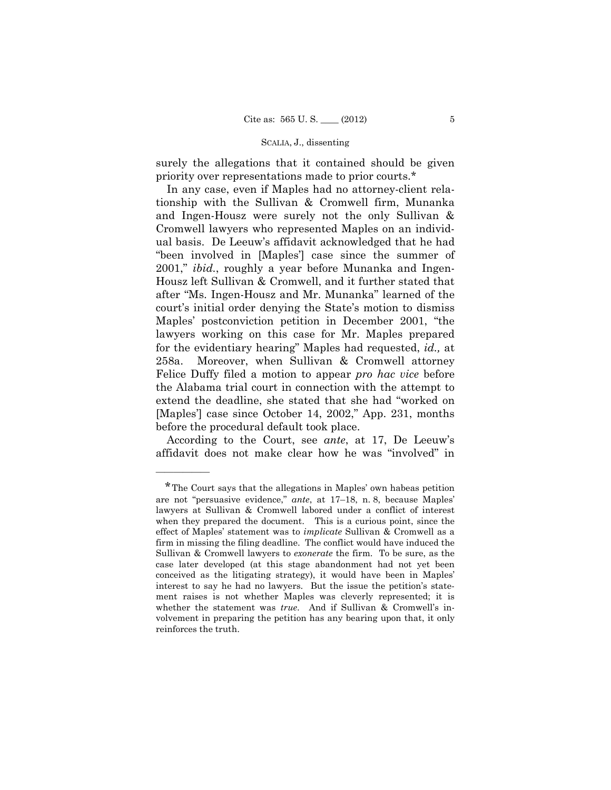surely the allegations that it contained should be given priority over representations made to prior courts.\*

 ual basis. De Leeuw's affidavit acknowledged that he had In any case, even if Maples had no attorney-client relationship with the Sullivan & Cromwell firm, Munanka and Ingen-Housz were surely not the only Sullivan & Cromwell lawyers who represented Maples on an individ-"been involved in [Maples'] case since the summer of 2001," *ibid.*, roughly a year before Munanka and Ingen-Housz left Sullivan & Cromwell, and it further stated that after "Ms. Ingen-Housz and Mr. Munanka" learned of the court's initial order denying the State's motion to dismiss Maples' postconviction petition in December 2001, "the lawyers working on this case for Mr. Maples prepared for the evidentiary hearing" Maples had requested, *id.,* at 258a. Moreover, when Sullivan & Cromwell attorney Felice Duffy filed a motion to appear *pro hac vice* before the Alabama trial court in connection with the attempt to extend the deadline, she stated that she had "worked on [Maples'] case since October 14, 2002," App. 231, months before the procedural default took place.

According to the Court, see *ante*, at 17, De Leeuw's affidavit does not make clear how he was "involved" in

 reinforces the truth. \*The Court says that the allegations in Maples' own habeas petition are not "persuasive evidence," *ante*, at 17–18, n. 8, because Maples' lawyers at Sullivan & Cromwell labored under a conflict of interest when they prepared the document. This is a curious point, since the effect of Maples' statement was to *implicate* Sullivan & Cromwell as a firm in missing the filing deadline. The conflict would have induced the Sullivan & Cromwell lawyers to *exonerate* the firm. To be sure, as the case later developed (at this stage abandonment had not yet been conceived as the litigating strategy), it would have been in Maples' interest to say he had no lawyers. But the issue the petition's statement raises is not whether Maples was cleverly represented; it is whether the statement was *true*. And if Sullivan & Cromwell's involvement in preparing the petition has any bearing upon that, it only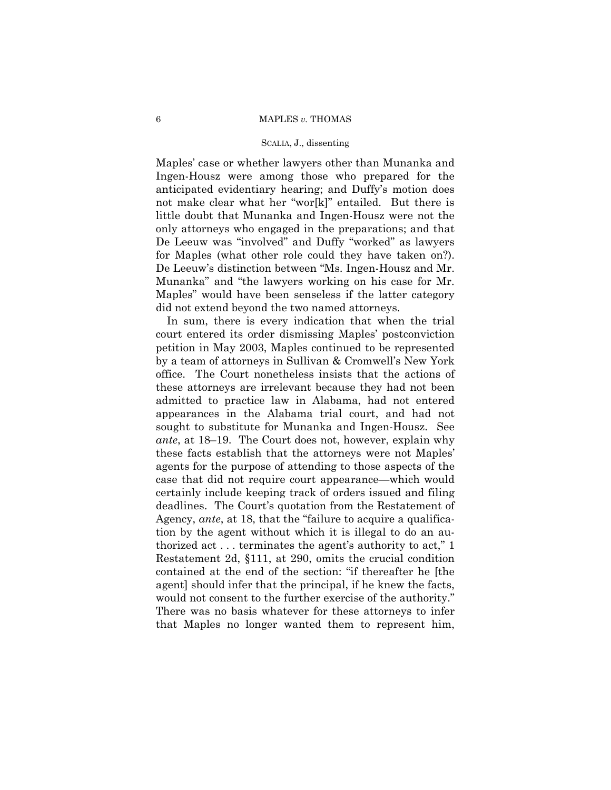#### SCALIA, J., dissenting

Maples' case or whether lawyers other than Munanka and Ingen-Housz were among those who prepared for the anticipated evidentiary hearing; and Duffy's motion does not make clear what her "wor[k]" entailed. But there is little doubt that Munanka and Ingen-Housz were not the only attorneys who engaged in the preparations; and that De Leeuw was "involved" and Duffy "worked" as lawyers for Maples (what other role could they have taken on?). De Leeuw's distinction between "Ms. Ingen-Housz and Mr. Munanka" and "the lawyers working on his case for Mr. Maples" would have been senseless if the latter category did not extend beyond the two named attorneys.

In sum, there is every indication that when the trial court entered its order dismissing Maples' postconviction petition in May 2003, Maples continued to be represented by a team of attorneys in Sullivan & Cromwell's New York office. The Court nonetheless insists that the actions of these attorneys are irrelevant because they had not been admitted to practice law in Alabama, had not entered appearances in the Alabama trial court, and had not sought to substitute for Munanka and Ingen-Housz. See *ante*, at 18–19. The Court does not, however, explain why these facts establish that the attorneys were not Maples' agents for the purpose of attending to those aspects of the case that did not require court appearance—which would certainly include keeping track of orders issued and filing deadlines. The Court's quotation from the Restatement of Agency, *ante*, at 18, that the "failure to acquire a qualification by the agent without which it is illegal to do an authorized act . . . terminates the agent's authority to act," 1 Restatement 2d, §111, at 290, omits the crucial condition contained at the end of the section: "if thereafter he [the agent] should infer that the principal, if he knew the facts, would not consent to the further exercise of the authority." There was no basis whatever for these attorneys to infer that Maples no longer wanted them to represent him,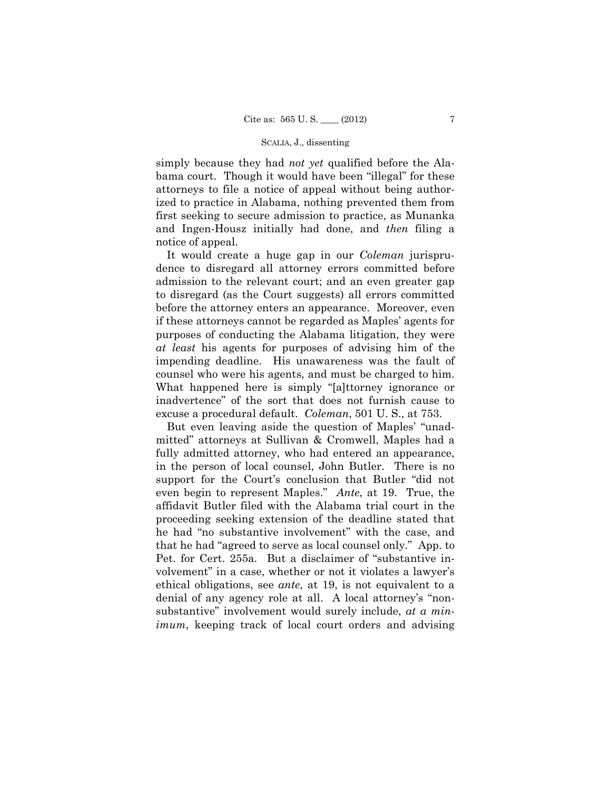simply because they had *not yet* qualified before the Alabama court. Though it would have been "illegal" for these attorneys to file a notice of appeal without being authorized to practice in Alabama, nothing prevented them from first seeking to secure admission to practice, as Munanka and Ingen-Housz initially had done, and *then* filing a notice of appeal.

It would create a huge gap in our *Coleman* jurisprudence to disregard all attorney errors committed before admission to the relevant court; and an even greater gap to disregard (as the Court suggests) all errors committed before the attorney enters an appearance. Moreover, even if these attorneys cannot be regarded as Maples' agents for purposes of conducting the Alabama litigation, they were *at least* his agents for purposes of advising him of the impending deadline. His unawareness was the fault of counsel who were his agents, and must be charged to him. What happened here is simply "[a]ttorney ignorance or inadvertence" of the sort that does not furnish cause to excuse a procedural default. *Coleman*, 501 U. S., at 753.

But even leaving aside the question of Maples' "unadmitted" attorneys at Sullivan & Cromwell, Maples had a fully admitted attorney, who had entered an appearance, in the person of local counsel, John Butler. There is no support for the Court's conclusion that Butler "did not even begin to represent Maples." *Ante*, at 19. True, the affidavit Butler filed with the Alabama trial court in the proceeding seeking extension of the deadline stated that he had "no substantive involvement" with the case, and that he had "agreed to serve as local counsel only." App. to Pet. for Cert. 255a. But a disclaimer of "substantive involvement" in a case, whether or not it violates a lawyer's ethical obligations, see *ante*, at 19, is not equivalent to a denial of any agency role at all. A local attorney's "nonsubstantive" involvement would surely include, *at a minimum*, keeping track of local court orders and advising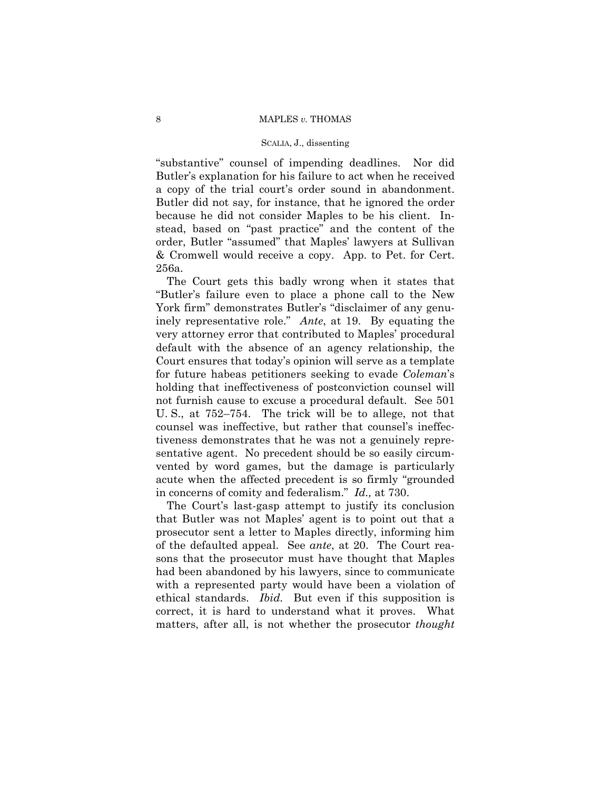#### SCALIA, J., dissenting

"substantive" counsel of impending deadlines. Nor did Butler's explanation for his failure to act when he received a copy of the trial court's order sound in abandonment. Butler did not say, for instance, that he ignored the order because he did not consider Maples to be his client. Instead, based on "past practice" and the content of the order, Butler "assumed" that Maples' lawyers at Sullivan & Cromwell would receive a copy. App. to Pet. for Cert. 256a.

The Court gets this badly wrong when it states that "Butler's failure even to place a phone call to the New York firm" demonstrates Butler's "disclaimer of any genuinely representative role." *Ante*, at 19. By equating the very attorney error that contributed to Maples' procedural default with the absence of an agency relationship, the Court ensures that today's opinion will serve as a template for future habeas petitioners seeking to evade *Coleman*'s holding that ineffectiveness of postconviction counsel will not furnish cause to excuse a procedural default. See 501 U. S., at 752–754. The trick will be to allege, not that counsel was ineffective, but rather that counsel's ineffectiveness demonstrates that he was not a genuinely representative agent. No precedent should be so easily circumvented by word games, but the damage is particularly acute when the affected precedent is so firmly "grounded in concerns of comity and federalism." *Id.,* at 730.

The Court's last-gasp attempt to justify its conclusion that Butler was not Maples' agent is to point out that a prosecutor sent a letter to Maples directly, informing him of the defaulted appeal. See *ante*, at 20. The Court reasons that the prosecutor must have thought that Maples had been abandoned by his lawyers, since to communicate with a represented party would have been a violation of ethical standards. *Ibid.* But even if this supposition is correct, it is hard to understand what it proves. What matters, after all, is not whether the prosecutor *thought*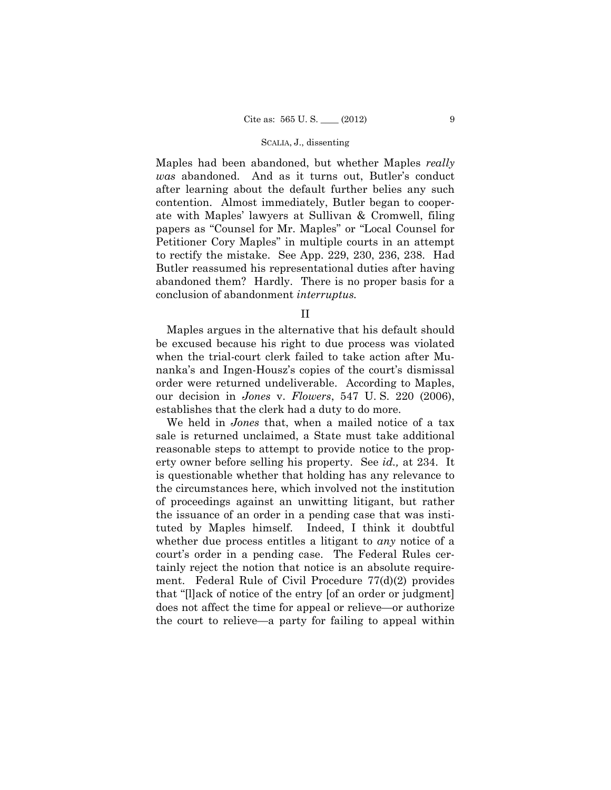Maples had been abandoned, but whether Maples *really was* abandoned. And as it turns out, Butler's conduct after learning about the default further belies any such contention. Almost immediately, Butler began to cooperate with Maples' lawyers at Sullivan & Cromwell, filing papers as "Counsel for Mr. Maples" or "Local Counsel for Petitioner Cory Maples" in multiple courts in an attempt to rectify the mistake. See App. 229, 230, 236, 238. Had Butler reassumed his representational duties after having abandoned them? Hardly. There is no proper basis for a conclusion of abandonment *interruptus.* 

II

Maples argues in the alternative that his default should be excused because his right to due process was violated when the trial-court clerk failed to take action after Munanka's and Ingen-Housz's copies of the court's dismissal order were returned undeliverable. According to Maples, our decision in *Jones* v. *Flowers*, 547 U. S. 220 (2006), establishes that the clerk had a duty to do more.

We held in *Jones* that, when a mailed notice of a tax sale is returned unclaimed, a State must take additional reasonable steps to attempt to provide notice to the property owner before selling his property. See *id.,* at 234. It is questionable whether that holding has any relevance to the circumstances here, which involved not the institution of proceedings against an unwitting litigant, but rather the issuance of an order in a pending case that was instituted by Maples himself. Indeed, I think it doubtful whether due process entitles a litigant to *any* notice of a court's order in a pending case. The Federal Rules certainly reject the notion that notice is an absolute requirement. Federal Rule of Civil Procedure 77(d)(2) provides that "[l]ack of notice of the entry [of an order or judgment] does not affect the time for appeal or relieve—or authorize the court to relieve—a party for failing to appeal within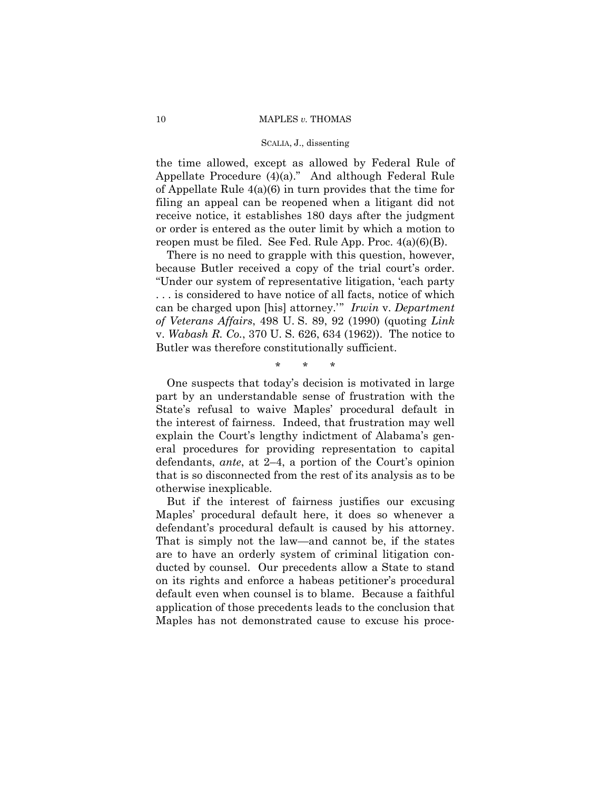the time allowed, except as allowed by Federal Rule of Appellate Procedure (4)(a)." And although Federal Rule of Appellate Rule 4(a)(6) in turn provides that the time for filing an appeal can be reopened when a litigant did not receive notice, it establishes 180 days after the judgment or order is entered as the outer limit by which a motion to reopen must be filed. See Fed. Rule App. Proc. 4(a)(6)(B).

There is no need to grapple with this question, however, because Butler received a copy of the trial court's order. "Under our system of representative litigation, 'each party . . . is considered to have notice of all facts, notice of which can be charged upon [his] attorney.'" *Irwin* v. *Department of Veterans Affairs*, 498 U. S. 89, 92 (1990) (quoting *Link*  v. *Wabash R. Co.*, 370 U. S. 626, 634 (1962)). The notice to Butler was therefore constitutionally sufficient.

\* \* \*

One suspects that today's decision is motivated in large part by an understandable sense of frustration with the State's refusal to waive Maples' procedural default in the interest of fairness. Indeed, that frustration may well explain the Court's lengthy indictment of Alabama's general procedures for providing representation to capital defendants, *ante*, at 2–4, a portion of the Court's opinion that is so disconnected from the rest of its analysis as to be otherwise inexplicable.

But if the interest of fairness justifies our excusing Maples' procedural default here, it does so whenever a defendant's procedural default is caused by his attorney. That is simply not the law—and cannot be, if the states are to have an orderly system of criminal litigation conducted by counsel. Our precedents allow a State to stand on its rights and enforce a habeas petitioner's procedural default even when counsel is to blame. Because a faithful application of those precedents leads to the conclusion that Maples has not demonstrated cause to excuse his proce-